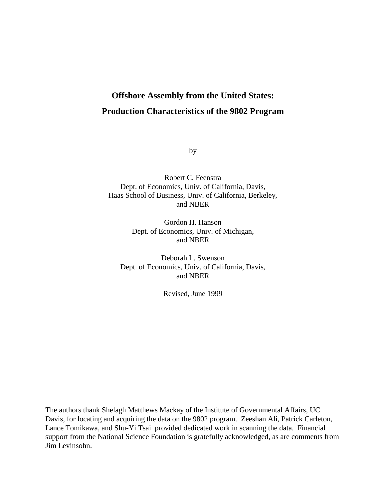# **Offshore Assembly from the United States: Production Characteristics of the 9802 Program**

by

Robert C. Feenstra Dept. of Economics, Univ. of California, Davis, Haas School of Business, Univ. of California, Berkeley, and NBER

> Gordon H. Hanson Dept. of Economics, Univ. of Michigan, and NBER

Deborah L. Swenson Dept. of Economics, Univ. of California, Davis, and NBER

Revised, June 1999

The authors thank Shelagh Matthews Mackay of the Institute of Governmental Affairs, UC Davis, for locating and acquiring the data on the 9802 program. Zeeshan Ali, Patrick Carleton, Lance Tomikawa, and Shu-Yi Tsai provided dedicated work in scanning the data. Financial support from the National Science Foundation is gratefully acknowledged, as are comments from Jim Levinsohn.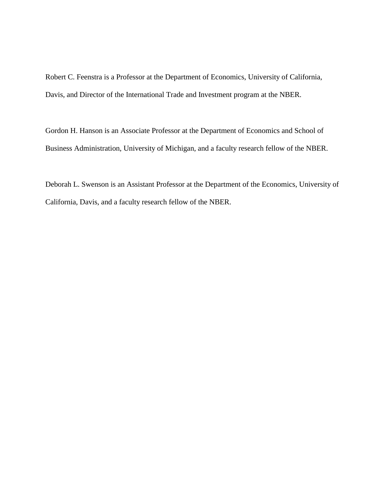Robert C. Feenstra is a Professor at the Department of Economics, University of California, Davis, and Director of the International Trade and Investment program at the NBER.

Gordon H. Hanson is an Associate Professor at the Department of Economics and School of Business Administration, University of Michigan, and a faculty research fellow of the NBER.

Deborah L. Swenson is an Assistant Professor at the Department of the Economics, University of California, Davis, and a faculty research fellow of the NBER.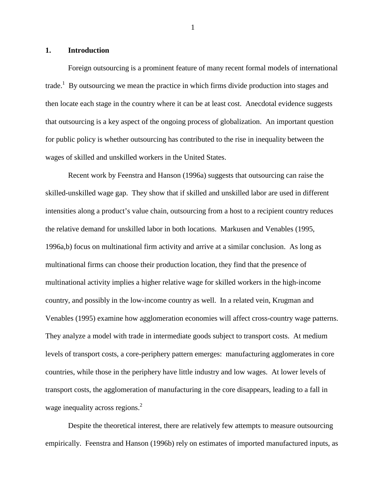### **1. Introduction**

Foreign outsourcing is a prominent feature of many recent formal models of international trade.<sup>1</sup> By outsourcing we mean the practice in which firms divide production into stages and then locate each stage in the country where it can be at least cost. Anecdotal evidence suggests that outsourcing is a key aspect of the ongoing process of globalization. An important question for public policy is whether outsourcing has contributed to the rise in inequality between the wages of skilled and unskilled workers in the United States.

Recent work by Feenstra and Hanson (1996a) suggests that outsourcing can raise the skilled-unskilled wage gap. They show that if skilled and unskilled labor are used in different intensities along a product's value chain, outsourcing from a host to a recipient country reduces the relative demand for unskilled labor in both locations. Markusen and Venables (1995, 1996a,b) focus on multinational firm activity and arrive at a similar conclusion. As long as multinational firms can choose their production location, they find that the presence of multinational activity implies a higher relative wage for skilled workers in the high-income country, and possibly in the low-income country as well. In a related vein, Krugman and Venables (1995) examine how agglomeration economies will affect cross-country wage patterns. They analyze a model with trade in intermediate goods subject to transport costs. At medium levels of transport costs, a core-periphery pattern emerges: manufacturing agglomerates in core countries, while those in the periphery have little industry and low wages. At lower levels of transport costs, the agglomeration of manufacturing in the core disappears, leading to a fall in wage inequality across regions.<sup>2</sup>

Despite the theoretical interest, there are relatively few attempts to measure outsourcing empirically. Feenstra and Hanson (1996b) rely on estimates of imported manufactured inputs, as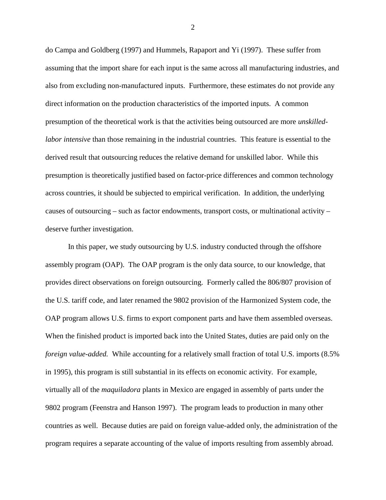do Campa and Goldberg (1997) and Hummels, Rapaport and Yi (1997). These suffer from assuming that the import share for each input is the same across all manufacturing industries, and also from excluding non-manufactured inputs. Furthermore, these estimates do not provide any direct information on the production characteristics of the imported inputs. A common presumption of the theoretical work is that the activities being outsourced are more *unskilledlabor intensive* than those remaining in the industrial countries. This feature is essential to the derived result that outsourcing reduces the relative demand for unskilled labor. While this presumption is theoretically justified based on factor-price differences and common technology across countries, it should be subjected to empirical verification. In addition, the underlying causes of outsourcing – such as factor endowments, transport costs, or multinational activity – deserve further investigation.

In this paper, we study outsourcing by U.S. industry conducted through the offshore assembly program (OAP). The OAP program is the only data source, to our knowledge, that provides direct observations on foreign outsourcing. Formerly called the 806/807 provision of the U.S. tariff code, and later renamed the 9802 provision of the Harmonized System code, the OAP program allows U.S. firms to export component parts and have them assembled overseas. When the finished product is imported back into the United States, duties are paid only on the *foreign value-added.* While accounting for a relatively small fraction of total U.S. imports (8.5% in 1995), this program is still substantial in its effects on economic activity. For example, virtually all of the *maquiladora* plants in Mexico are engaged in assembly of parts under the 9802 program (Feenstra and Hanson 1997). The program leads to production in many other countries as well. Because duties are paid on foreign value-added only, the administration of the program requires a separate accounting of the value of imports resulting from assembly abroad.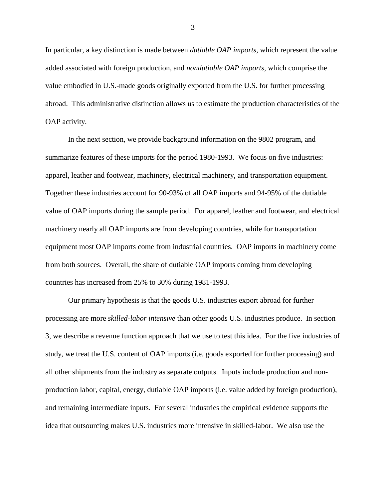In particular, a key distinction is made between *dutiable OAP imports*, which represent the value added associated with foreign production, and *nondutiable OAP imports*, which comprise the value embodied in U.S.-made goods originally exported from the U.S. for further processing abroad. This administrative distinction allows us to estimate the production characteristics of the OAP activity.

In the next section, we provide background information on the 9802 program, and summarize features of these imports for the period 1980-1993. We focus on five industries: apparel, leather and footwear, machinery, electrical machinery, and transportation equipment. Together these industries account for 90-93% of all OAP imports and 94-95% of the dutiable value of OAP imports during the sample period. For apparel, leather and footwear, and electrical machinery nearly all OAP imports are from developing countries, while for transportation equipment most OAP imports come from industrial countries. OAP imports in machinery come from both sources. Overall, the share of dutiable OAP imports coming from developing countries has increased from 25% to 30% during 1981-1993.

Our primary hypothesis is that the goods U.S. industries export abroad for further processing are more *skilled-labor intensive* than other goods U.S. industries produce. In section 3, we describe a revenue function approach that we use to test this idea. For the five industries of study, we treat the U.S. content of OAP imports (i.e. goods exported for further processing) and all other shipments from the industry as separate outputs. Inputs include production and nonproduction labor, capital, energy, dutiable OAP imports (i.e. value added by foreign production), and remaining intermediate inputs. For several industries the empirical evidence supports the idea that outsourcing makes U.S. industries more intensive in skilled-labor. We also use the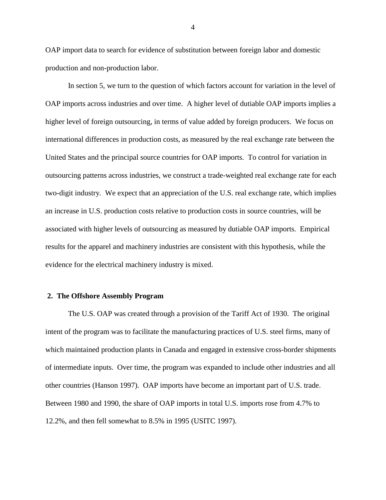OAP import data to search for evidence of substitution between foreign labor and domestic production and non-production labor.

In section 5, we turn to the question of which factors account for variation in the level of OAP imports across industries and over time. A higher level of dutiable OAP imports implies a higher level of foreign outsourcing, in terms of value added by foreign producers. We focus on international differences in production costs, as measured by the real exchange rate between the United States and the principal source countries for OAP imports. To control for variation in outsourcing patterns across industries, we construct a trade-weighted real exchange rate for each two-digit industry. We expect that an appreciation of the U.S. real exchange rate, which implies an increase in U.S. production costs relative to production costs in source countries, will be associated with higher levels of outsourcing as measured by dutiable OAP imports. Empirical results for the apparel and machinery industries are consistent with this hypothesis, while the evidence for the electrical machinery industry is mixed.

#### **2. The Offshore Assembly Program**

The U.S. OAP was created through a provision of the Tariff Act of 1930. The original intent of the program was to facilitate the manufacturing practices of U.S. steel firms, many of which maintained production plants in Canada and engaged in extensive cross-border shipments of intermediate inputs. Over time, the program was expanded to include other industries and all other countries (Hanson 1997). OAP imports have become an important part of U.S. trade. Between 1980 and 1990, the share of OAP imports in total U.S. imports rose from 4.7% to 12.2%, and then fell somewhat to 8.5% in 1995 (USITC 1997).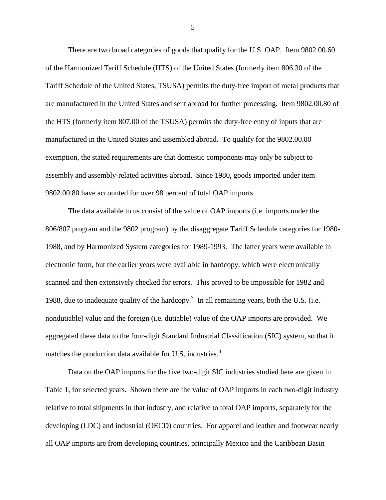There are two broad categories of goods that qualify for the U.S. OAP. Item 9802.00.60 of the Harmonized Tariff Schedule (HTS) of the United States (formerly item 806.30 of the Tariff Schedule of the United States, TSUSA) permits the duty-free import of metal products that are manufactured in the United States and sent abroad for further processing. Item 9802.00.80 of the HTS (formerly item 807.00 of the TSUSA) permits the duty-free entry of inputs that are manufactured in the United States and assembled abroad. To qualify for the 9802.00.80 exemption, the stated requirements are that domestic components may only be subject to assembly and assembly-related activities abroad. Since 1980, goods imported under item 9802.00.80 have accounted for over 98 percent of total OAP imports.

The data available to us consist of the value of OAP imports (i.e. imports under the 806/807 program and the 9802 program) by the disaggregate Tariff Schedule categories for 1980- 1988, and by Harmonized System categories for 1989-1993. The latter years were available in electronic form, but the earlier years were available in hardcopy, which were electronically scanned and then extensively checked for errors. This proved to be impossible for 1982 and 1988, due to inadequate quality of the hardcopy.<sup>3</sup> In all remaining years, both the U.S. (i.e. nondutiable) value and the foreign (i.e. dutiable) value of the OAP imports are provided. We aggregated these data to the four-digit Standard Industrial Classification (SIC) system, so that it matches the production data available for U.S. industries.<sup>4</sup>

Data on the OAP imports for the five two-digit SIC industries studied here are given in Table 1, for selected years. Shown there are the value of OAP imports in each two-digit industry relative to total shipments in that industry, and relative to total OAP imports, separately for the developing (LDC) and industrial (OECD) countries. For apparel and leather and footwear nearly all OAP imports are from developing countries, principally Mexico and the Caribbean Basin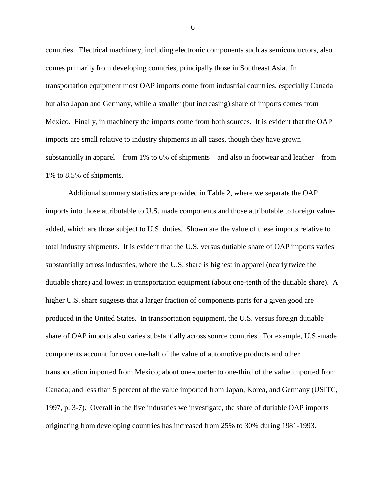countries. Electrical machinery, including electronic components such as semiconductors, also comes primarily from developing countries, principally those in Southeast Asia. In transportation equipment most OAP imports come from industrial countries, especially Canada but also Japan and Germany, while a smaller (but increasing) share of imports comes from Mexico. Finally, in machinery the imports come from both sources. It is evident that the OAP imports are small relative to industry shipments in all cases, though they have grown substantially in apparel – from 1% to 6% of shipments – and also in footwear and leather – from 1% to 8.5% of shipments.

Additional summary statistics are provided in Table 2, where we separate the OAP imports into those attributable to U.S. made components and those attributable to foreign valueadded, which are those subject to U.S. duties. Shown are the value of these imports relative to total industry shipments. It is evident that the U.S. versus dutiable share of OAP imports varies substantially across industries, where the U.S. share is highest in apparel (nearly twice the dutiable share) and lowest in transportation equipment (about one-tenth of the dutiable share). A higher U.S. share suggests that a larger fraction of components parts for a given good are produced in the United States. In transportation equipment, the U.S. versus foreign dutiable share of OAP imports also varies substantially across source countries. For example, U.S.-made components account for over one-half of the value of automotive products and other transportation imported from Mexico; about one-quarter to one-third of the value imported from Canada; and less than 5 percent of the value imported from Japan, Korea, and Germany (USITC, 1997, p. 3-7). Overall in the five industries we investigate, the share of dutiable OAP imports originating from developing countries has increased from 25% to 30% during 1981-1993.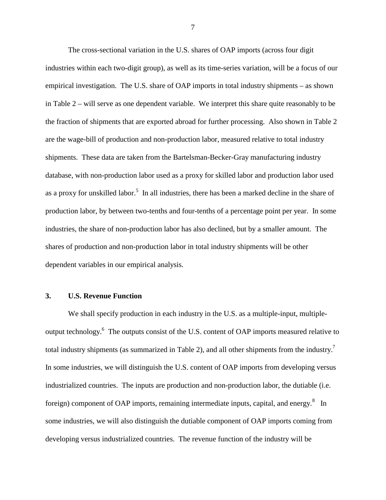The cross-sectional variation in the U.S. shares of OAP imports (across four digit industries within each two-digit group), as well as its time-series variation, will be a focus of our empirical investigation. The U.S. share of OAP imports in total industry shipments – as shown in Table 2 – will serve as one dependent variable. We interpret this share quite reasonably to be the fraction of shipments that are exported abroad for further processing. Also shown in Table 2 are the wage-bill of production and non-production labor, measured relative to total industry shipments. These data are taken from the Bartelsman-Becker-Gray manufacturing industry database, with non-production labor used as a proxy for skilled labor and production labor used as a proxy for unskilled labor.<sup>5</sup> In all industries, there has been a marked decline in the share of production labor, by between two-tenths and four-tenths of a percentage point per year. In some industries, the share of non-production labor has also declined, but by a smaller amount. The shares of production and non-production labor in total industry shipments will be other dependent variables in our empirical analysis.

### **3. U.S. Revenue Function**

We shall specify production in each industry in the U.S. as a multiple-input, multipleoutput technology.<sup>6</sup> The outputs consist of the U.S. content of OAP imports measured relative to total industry shipments (as summarized in Table 2), and all other shipments from the industry.<sup>7</sup> In some industries, we will distinguish the U.S. content of OAP imports from developing versus industrialized countries. The inputs are production and non-production labor, the dutiable (i.e. foreign) component of OAP imports, remaining intermediate inputs, capital, and energy.<sup>8</sup> In some industries, we will also distinguish the dutiable component of OAP imports coming from developing versus industrialized countries. The revenue function of the industry will be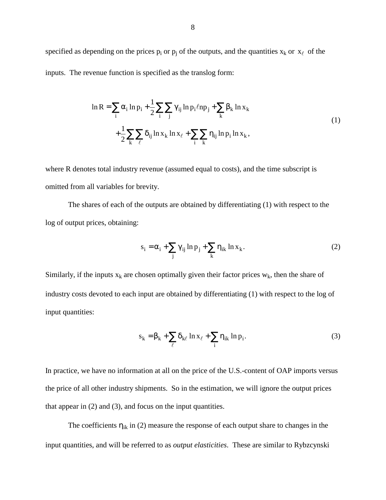specified as depending on the prices  $p_i$  or  $p_j$  of the outputs, and the quantities  $x_k$  or  $x_\ell$  of the inputs. The revenue function is specified as the translog form:

$$
\ln R = \sum_{i} \alpha_{i} \ln p_{i} + \frac{1}{2} \sum_{i} \sum_{j} \gamma_{ij} \ln p_{i} \ell n p_{j} + \sum_{k} \beta_{k} \ln x_{k} + \frac{1}{2} \sum_{k} \sum_{\ell} \delta_{ij} \ln x_{k} \ln x_{\ell} + \sum_{i} \sum_{k} \eta_{ij} \ln p_{i} \ln x_{k},
$$
\n(1)

where R denotes total industry revenue (assumed equal to costs), and the time subscript is omitted from all variables for brevity.

The shares of each of the outputs are obtained by differentiating (1) with respect to the log of output prices, obtaining:

$$
s_i = \alpha_i + \sum_j \gamma_{ij} \ln p_j + \sum_k \eta_{ik} \ln x_k.
$$
 (2)

Similarly, if the inputs  $x_k$  are chosen optimally given their factor prices  $w_k$ , then the share of industry costs devoted to each input are obtained by differentiating (1) with respect to the log of input quantities:

$$
s_{k} = \beta_{k} + \sum_{\ell} \delta_{k\ell} \ln x_{\ell} + \sum_{i} \eta_{ik} \ln p_{i}.
$$
 (3)

In practice, we have no information at all on the price of the U.S.-content of OAP imports versus the price of all other industry shipments. So in the estimation, we will ignore the output prices that appear in (2) and (3), and focus on the input quantities.

The coefficients  $\eta_{ik}$  in (2) measure the response of each output share to changes in the input quantities, and will be referred to as *output elasticities*. These are similar to Rybzcynski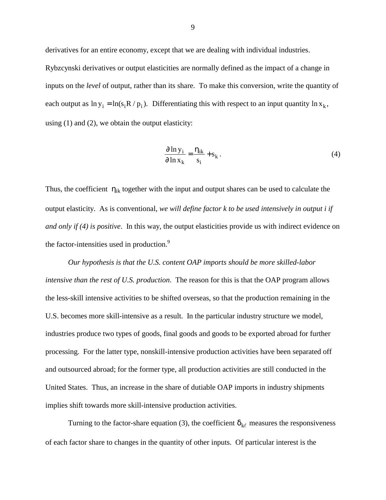derivatives for an entire economy, except that we are dealing with individual industries. Rybzcynski derivatives or output elasticities are normally defined as the impact of a change in inputs on the *level* of output, rather than its share. To make this conversion, write the quantity of each output as  $\ln y_i = \ln(s_i R / p_i)$ . Differentiating this with respect to an input quantity  $\ln x_k$ , using  $(1)$  and  $(2)$ , we obtain the output elasticity:

$$
\frac{\partial \ln y_i}{\partial \ln x_k} = \frac{\eta_{ik}}{s_i} + s_k. \tag{4}
$$

Thus, the coefficient  $\eta_{ik}$  together with the input and output shares can be used to calculate the output elasticity. As is conventional, *we will define factor k to be used intensively in output i if and only if (4) is positive*. In this way, the output elasticities provide us with indirect evidence on the factor-intensities used in production.<sup>9</sup>

*Our hypothesis is that the U.S. content OAP imports should be more skilled-labor intensive than the rest of U.S. production*. The reason for this is that the OAP program allows the less-skill intensive activities to be shifted overseas, so that the production remaining in the U.S. becomes more skill-intensive as a result. In the particular industry structure we model, industries produce two types of goods, final goods and goods to be exported abroad for further processing. For the latter type, nonskill-intensive production activities have been separated off and outsourced abroad; for the former type, all production activities are still conducted in the United States. Thus, an increase in the share of dutiable OAP imports in industry shipments implies shift towards more skill-intensive production activities.

Turning to the factor-share equation (3), the coefficient  $\delta_{k\ell}$  measures the responsiveness of each factor share to changes in the quantity of other inputs. Of particular interest is the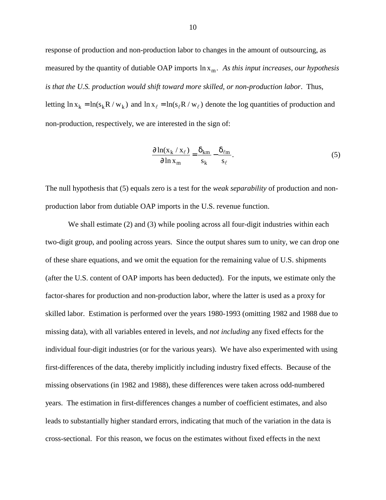response of production and non-production labor to changes in the amount of outsourcing, as measured by the quantity of dutiable OAP imports  $\ln x_m$ . As this input increases, our hypothesis *is that the U.S. production would shift toward more skilled, or non-production labor*. Thus, letting  $\ln x_k = \ln(s_k R / w_k)$  and  $\ln x_\ell = \ln(s_\ell R / w_\ell)$  denote the log quantities of production and non-production, respectively, we are interested in the sign of:

$$
\frac{\partial \ln(x_k / x_\ell)}{\partial \ln x_m} = \frac{\delta_{km}}{s_k} - \frac{\delta_{\ell m}}{s_\ell}.
$$
 (5)

The null hypothesis that (5) equals zero is a test for the *weak separability* of production and nonproduction labor from dutiable OAP imports in the U.S. revenue function.

We shall estimate (2) and (3) while pooling across all four-digit industries within each two-digit group, and pooling across years. Since the output shares sum to unity, we can drop one of these share equations, and we omit the equation for the remaining value of U.S. shipments (after the U.S. content of OAP imports has been deducted). For the inputs, we estimate only the factor-shares for production and non-production labor, where the latter is used as a proxy for skilled labor. Estimation is performed over the years 1980-1993 (omitting 1982 and 1988 due to missing data), with all variables entered in levels, and *not including* any fixed effects for the individual four-digit industries (or for the various years). We have also experimented with using first-differences of the data, thereby implicitly including industry fixed effects. Because of the missing observations (in 1982 and 1988), these differences were taken across odd-numbered years. The estimation in first-differences changes a number of coefficient estimates, and also leads to substantially higher standard errors, indicating that much of the variation in the data is cross-sectional. For this reason, we focus on the estimates without fixed effects in the next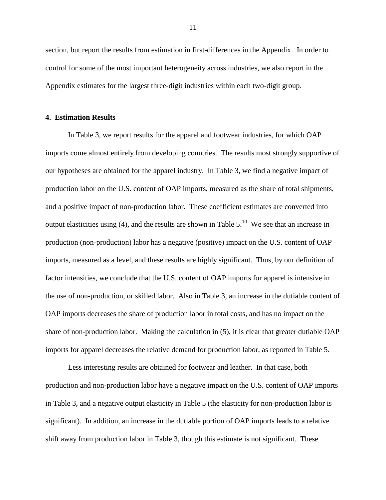section, but report the results from estimation in first-differences in the Appendix. In order to control for some of the most important heterogeneity across industries, we also report in the Appendix estimates for the largest three-digit industries within each two-digit group.

#### **4. Estimation Results**

In Table 3, we report results for the apparel and footwear industries, for which OAP imports come almost entirely from developing countries. The results most strongly supportive of our hypotheses are obtained for the apparel industry. In Table 3, we find a negative impact of production labor on the U.S. content of OAP imports, measured as the share of total shipments, and a positive impact of non-production labor. These coefficient estimates are converted into output elasticities using (4), and the results are shown in Table  $5<sup>10</sup>$  We see that an increase in production (non-production) labor has a negative (positive) impact on the U.S. content of OAP imports, measured as a level, and these results are highly significant. Thus, by our definition of factor intensities, we conclude that the U.S. content of OAP imports for apparel is intensive in the use of non-production, or skilled labor. Also in Table 3, an increase in the dutiable content of OAP imports decreases the share of production labor in total costs, and has no impact on the share of non-production labor. Making the calculation in (5), it is clear that greater dutiable OAP imports for apparel decreases the relative demand for production labor, as reported in Table 5.

Less interesting results are obtained for footwear and leather. In that case, both production and non-production labor have a negative impact on the U.S. content of OAP imports in Table 3, and a negative output elasticity in Table 5 (the elasticity for non-production labor is significant). In addition, an increase in the dutiable portion of OAP imports leads to a relative shift away from production labor in Table 3, though this estimate is not significant. These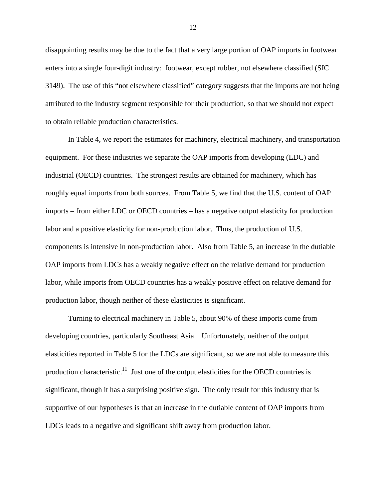disappointing results may be due to the fact that a very large portion of OAP imports in footwear enters into a single four-digit industry: footwear, except rubber, not elsewhere classified (SIC 3149). The use of this "not elsewhere classified" category suggests that the imports are not being attributed to the industry segment responsible for their production, so that we should not expect to obtain reliable production characteristics.

In Table 4, we report the estimates for machinery, electrical machinery, and transportation equipment. For these industries we separate the OAP imports from developing (LDC) and industrial (OECD) countries. The strongest results are obtained for machinery, which has roughly equal imports from both sources. From Table 5, we find that the U.S. content of OAP imports – from either LDC or OECD countries – has a negative output elasticity for production labor and a positive elasticity for non-production labor. Thus, the production of U.S. components is intensive in non-production labor. Also from Table 5, an increase in the dutiable OAP imports from LDCs has a weakly negative effect on the relative demand for production labor, while imports from OECD countries has a weakly positive effect on relative demand for production labor, though neither of these elasticities is significant.

Turning to electrical machinery in Table 5, about 90% of these imports come from developing countries, particularly Southeast Asia. Unfortunately, neither of the output elasticities reported in Table 5 for the LDCs are significant, so we are not able to measure this production characteristic.<sup>11</sup> Just one of the output elasticities for the OECD countries is significant, though it has a surprising positive sign. The only result for this industry that is supportive of our hypotheses is that an increase in the dutiable content of OAP imports from LDCs leads to a negative and significant shift away from production labor.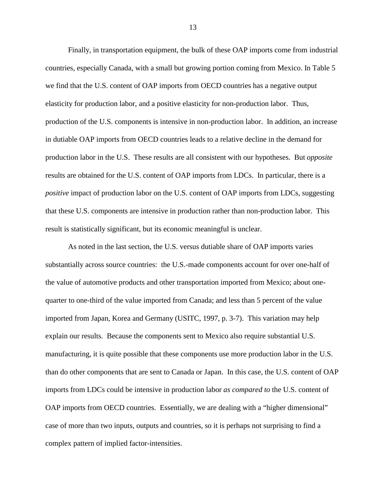Finally, in transportation equipment, the bulk of these OAP imports come from industrial countries, especially Canada, with a small but growing portion coming from Mexico. In Table 5 we find that the U.S. content of OAP imports from OECD countries has a negative output elasticity for production labor, and a positive elasticity for non-production labor. Thus, production of the U.S. components is intensive in non-production labor. In addition, an increase in dutiable OAP imports from OECD countries leads to a relative decline in the demand for production labor in the U.S. These results are all consistent with our hypotheses. But *opposite* results are obtained for the U.S. content of OAP imports from LDCs. In particular, there is a *positive* impact of production labor on the U.S. content of OAP imports from LDCs, suggesting that these U.S. components are intensive in production rather than non-production labor. This result is statistically significant, but its economic meaningful is unclear.

As noted in the last section, the U.S. versus dutiable share of OAP imports varies substantially across source countries: the U.S.-made components account for over one-half of the value of automotive products and other transportation imported from Mexico; about onequarter to one-third of the value imported from Canada; and less than 5 percent of the value imported from Japan, Korea and Germany (USITC, 1997, p. 3-7). This variation may help explain our results. Because the components sent to Mexico also require substantial U.S. manufacturing, it is quite possible that these components use more production labor in the U.S. than do other components that are sent to Canada or Japan. In this case, the U.S. content of OAP imports from LDCs could be intensive in production labor *as compared to* the U.S. content of OAP imports from OECD countries. Essentially, we are dealing with a "higher dimensional" case of more than two inputs, outputs and countries, so it is perhaps not surprising to find a complex pattern of implied factor-intensities.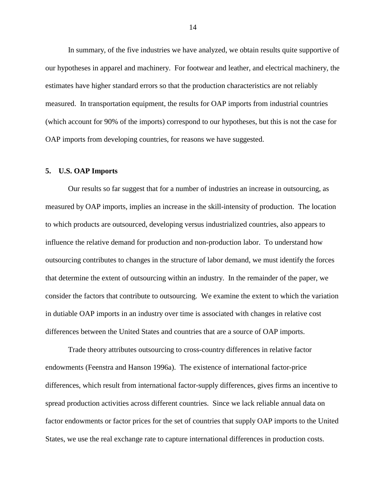In summary, of the five industries we have analyzed, we obtain results quite supportive of our hypotheses in apparel and machinery. For footwear and leather, and electrical machinery, the estimates have higher standard errors so that the production characteristics are not reliably measured. In transportation equipment, the results for OAP imports from industrial countries (which account for 90% of the imports) correspond to our hypotheses, but this is not the case for OAP imports from developing countries, for reasons we have suggested.

#### **5. U.S. OAP Imports**

Our results so far suggest that for a number of industries an increase in outsourcing, as measured by OAP imports, implies an increase in the skill-intensity of production. The location to which products are outsourced, developing versus industrialized countries, also appears to influence the relative demand for production and non-production labor. To understand how outsourcing contributes to changes in the structure of labor demand, we must identify the forces that determine the extent of outsourcing within an industry. In the remainder of the paper, we consider the factors that contribute to outsourcing. We examine the extent to which the variation in dutiable OAP imports in an industry over time is associated with changes in relative cost differences between the United States and countries that are a source of OAP imports.

Trade theory attributes outsourcing to cross-country differences in relative factor endowments (Feenstra and Hanson 1996a). The existence of international factor-price differences, which result from international factor-supply differences, gives firms an incentive to spread production activities across different countries. Since we lack reliable annual data on factor endowments or factor prices for the set of countries that supply OAP imports to the United States, we use the real exchange rate to capture international differences in production costs.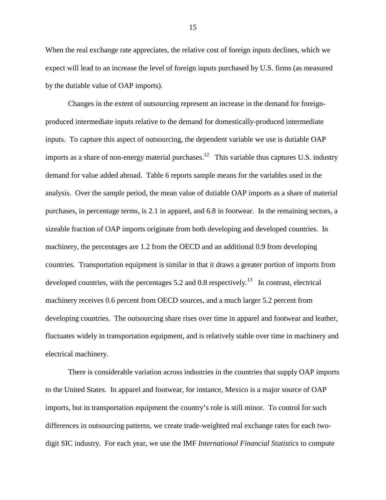When the real exchange rate appreciates, the relative cost of foreign inputs declines, which we expect will lead to an increase the level of foreign inputs purchased by U.S. firms (as measured by the dutiable value of OAP imports).

Changes in the extent of outsourcing represent an increase in the demand for foreignproduced intermediate inputs relative to the demand for domestically-produced intermediate inputs. To capture this aspect of outsourcing, the dependent variable we use is dutiable OAP imports as a share of non-energy material purchases.<sup>12</sup> This variable thus captures U.S. industry demand for value added abroad. Table 6 reports sample means for the variables used in the analysis. Over the sample period, the mean value of dutiable OAP imports as a share of material purchases, in percentage terms, is 2.1 in apparel, and 6.8 in footwear. In the remaining sectors, a sizeable fraction of OAP imports originate from both developing and developed countries. In machinery, the percentages are 1.2 from the OECD and an additional 0.9 from developing countries. Transportation equipment is similar in that it draws a greater portion of imports from developed countries, with the percentages 5.2 and 0.8 respectively.<sup>13</sup> In contrast, electrical machinery receives 0.6 percent from OECD sources, and a much larger 5.2 percent from developing countries. The outsourcing share rises over time in apparel and footwear and leather, fluctuates widely in transportation equipment, and is relatively stable over time in machinery and electrical machinery.

There is considerable variation across industries in the countries that supply OAP imports to the United States. In apparel and footwear, for instance, Mexico is a major source of OAP imports, but in transportation equipment the country's role is still minor. To control for such differences in outsourcing patterns, we create trade-weighted real exchange rates for each twodigit SIC industry. For each year, we use the IMF *International Financial Statistics* to compute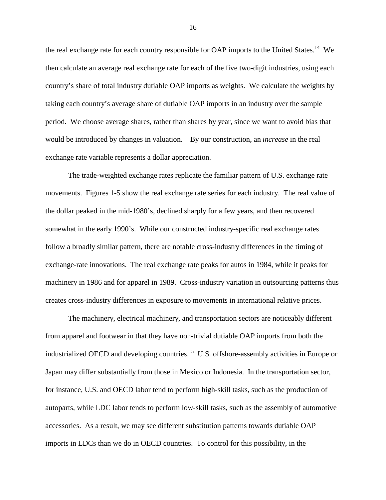the real exchange rate for each country responsible for OAP imports to the United States.<sup>14</sup> We then calculate an average real exchange rate for each of the five two-digit industries, using each country's share of total industry dutiable OAP imports as weights. We calculate the weights by taking each country's average share of dutiable OAP imports in an industry over the sample period. We choose average shares, rather than shares by year, since we want to avoid bias that would be introduced by changes in valuation. By our construction, an *increase* in the real exchange rate variable represents a dollar appreciation.

The trade-weighted exchange rates replicate the familiar pattern of U.S. exchange rate movements. Figures 1-5 show the real exchange rate series for each industry. The real value of the dollar peaked in the mid-1980's, declined sharply for a few years, and then recovered somewhat in the early 1990's. While our constructed industry-specific real exchange rates follow a broadly similar pattern, there are notable cross-industry differences in the timing of exchange-rate innovations. The real exchange rate peaks for autos in 1984, while it peaks for machinery in 1986 and for apparel in 1989. Cross-industry variation in outsourcing patterns thus creates cross-industry differences in exposure to movements in international relative prices.

The machinery, electrical machinery, and transportation sectors are noticeably different from apparel and footwear in that they have non-trivial dutiable OAP imports from both the industrialized OECD and developing countries.<sup>15</sup> U.S. offshore-assembly activities in Europe or Japan may differ substantially from those in Mexico or Indonesia. In the transportation sector, for instance, U.S. and OECD labor tend to perform high-skill tasks, such as the production of autoparts, while LDC labor tends to perform low-skill tasks, such as the assembly of automotive accessories. As a result, we may see different substitution patterns towards dutiable OAP imports in LDCs than we do in OECD countries. To control for this possibility, in the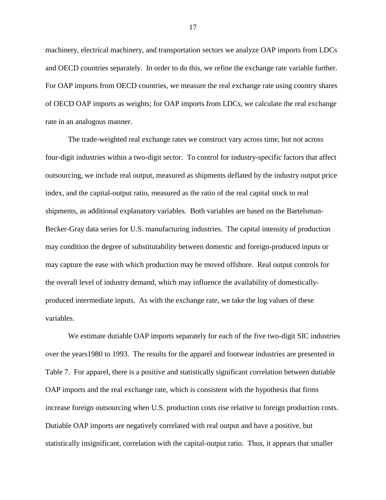machinery, electrical machinery, and transportation sectors we analyze OAP imports from LDCs and OECD countries separately. In order to do this, we refine the exchange rate variable further. For OAP imports from OECD countries, we measure the real exchange rate using country shares of OECD OAP imports as weights; for OAP imports from LDCs, we calculate the real exchange rate in an analogous manner.

The trade-weighted real exchange rates we construct vary across time, but not across four-digit industries within a two-digit sector. To control for industry-specific factors that affect outsourcing, we include real output, measured as shipments deflated by the industry output price index, and the capital-output ratio, measured as the ratio of the real capital stock to real shipments, as additional explanatory variables. Both variables are based on the Bartelsman-Becker-Gray data series for U.S. manufacturing industries. The capital intensity of production may condition the degree of substitutability between domestic and foreign-produced inputs or may capture the ease with which production may be moved offshore. Real output controls for the overall level of industry demand, which may influence the availability of domesticallyproduced intermediate inputs. As with the exchange rate, we take the log values of these variables.

We estimate dutiable OAP imports separately for each of the five two-digit SIC industries over the years1980 to 1993. The results for the apparel and footwear industries are presented in Table 7. For apparel, there is a positive and statistically significant correlation between dutiable OAP imports and the real exchange rate, which is consistent with the hypothesis that firms increase foreign outsourcing when U.S. production costs rise relative to foreign production costs. Dutiable OAP imports are negatively correlated with real output and have a positive, but statistically insignificant, correlation with the capital-output ratio. Thus, it appears that smaller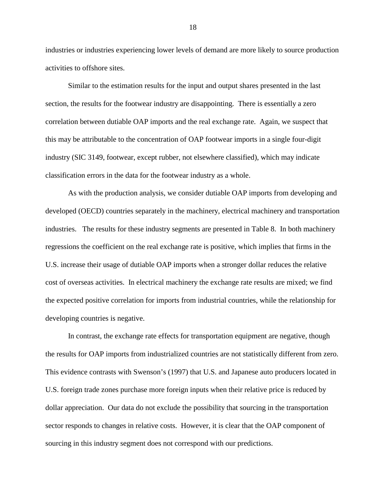industries or industries experiencing lower levels of demand are more likely to source production activities to offshore sites.

Similar to the estimation results for the input and output shares presented in the last section, the results for the footwear industry are disappointing. There is essentially a zero correlation between dutiable OAP imports and the real exchange rate. Again, we suspect that this may be attributable to the concentration of OAP footwear imports in a single four-digit industry (SIC 3149, footwear, except rubber, not elsewhere classified), which may indicate classification errors in the data for the footwear industry as a whole.

As with the production analysis, we consider dutiable OAP imports from developing and developed (OECD) countries separately in the machinery, electrical machinery and transportation industries. The results for these industry segments are presented in Table 8. In both machinery regressions the coefficient on the real exchange rate is positive, which implies that firms in the U.S. increase their usage of dutiable OAP imports when a stronger dollar reduces the relative cost of overseas activities. In electrical machinery the exchange rate results are mixed; we find the expected positive correlation for imports from industrial countries, while the relationship for developing countries is negative.

In contrast, the exchange rate effects for transportation equipment are negative, though the results for OAP imports from industrialized countries are not statistically different from zero. This evidence contrasts with Swenson's (1997) that U.S. and Japanese auto producers located in U.S. foreign trade zones purchase more foreign inputs when their relative price is reduced by dollar appreciation. Our data do not exclude the possibility that sourcing in the transportation sector responds to changes in relative costs. However, it is clear that the OAP component of sourcing in this industry segment does not correspond with our predictions.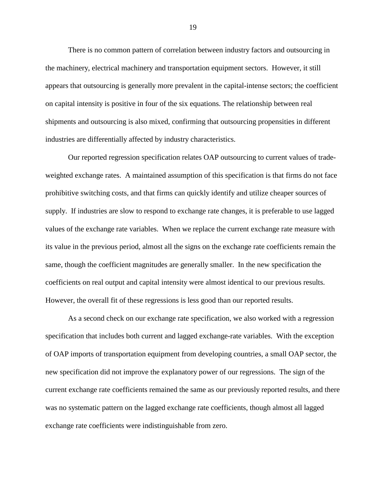There is no common pattern of correlation between industry factors and outsourcing in the machinery, electrical machinery and transportation equipment sectors. However, it still appears that outsourcing is generally more prevalent in the capital-intense sectors; the coefficient on capital intensity is positive in four of the six equations. The relationship between real shipments and outsourcing is also mixed, confirming that outsourcing propensities in different industries are differentially affected by industry characteristics.

Our reported regression specification relates OAP outsourcing to current values of tradeweighted exchange rates. A maintained assumption of this specification is that firms do not face prohibitive switching costs, and that firms can quickly identify and utilize cheaper sources of supply. If industries are slow to respond to exchange rate changes, it is preferable to use lagged values of the exchange rate variables. When we replace the current exchange rate measure with its value in the previous period, almost all the signs on the exchange rate coefficients remain the same, though the coefficient magnitudes are generally smaller. In the new specification the coefficients on real output and capital intensity were almost identical to our previous results. However, the overall fit of these regressions is less good than our reported results.

As a second check on our exchange rate specification, we also worked with a regression specification that includes both current and lagged exchange-rate variables. With the exception of OAP imports of transportation equipment from developing countries, a small OAP sector, the new specification did not improve the explanatory power of our regressions. The sign of the current exchange rate coefficients remained the same as our previously reported results, and there was no systematic pattern on the lagged exchange rate coefficients, though almost all lagged exchange rate coefficients were indistinguishable from zero.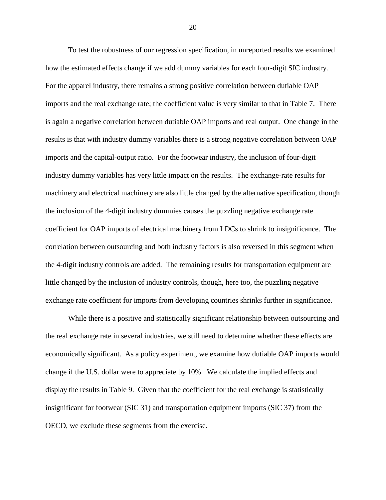To test the robustness of our regression specification, in unreported results we examined how the estimated effects change if we add dummy variables for each four-digit SIC industry. For the apparel industry, there remains a strong positive correlation between dutiable OAP imports and the real exchange rate; the coefficient value is very similar to that in Table 7. There is again a negative correlation between dutiable OAP imports and real output. One change in the results is that with industry dummy variables there is a strong negative correlation between OAP imports and the capital-output ratio. For the footwear industry, the inclusion of four-digit industry dummy variables has very little impact on the results. The exchange-rate results for machinery and electrical machinery are also little changed by the alternative specification, though the inclusion of the 4-digit industry dummies causes the puzzling negative exchange rate coefficient for OAP imports of electrical machinery from LDCs to shrink to insignificance. The correlation between outsourcing and both industry factors is also reversed in this segment when the 4-digit industry controls are added. The remaining results for transportation equipment are little changed by the inclusion of industry controls, though, here too, the puzzling negative exchange rate coefficient for imports from developing countries shrinks further in significance.

While there is a positive and statistically significant relationship between outsourcing and the real exchange rate in several industries, we still need to determine whether these effects are economically significant. As a policy experiment, we examine how dutiable OAP imports would change if the U.S. dollar were to appreciate by 10%. We calculate the implied effects and display the results in Table 9. Given that the coefficient for the real exchange is statistically insignificant for footwear (SIC 31) and transportation equipment imports (SIC 37) from the OECD, we exclude these segments from the exercise.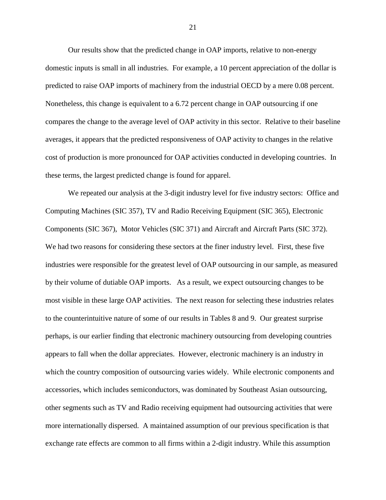Our results show that the predicted change in OAP imports, relative to non-energy domestic inputs is small in all industries. For example, a 10 percent appreciation of the dollar is predicted to raise OAP imports of machinery from the industrial OECD by a mere 0.08 percent. Nonetheless, this change is equivalent to a 6.72 percent change in OAP outsourcing if one compares the change to the average level of OAP activity in this sector. Relative to their baseline averages, it appears that the predicted responsiveness of OAP activity to changes in the relative cost of production is more pronounced for OAP activities conducted in developing countries. In these terms, the largest predicted change is found for apparel.

We repeated our analysis at the 3-digit industry level for five industry sectors: Office and Computing Machines (SIC 357), TV and Radio Receiving Equipment (SIC 365), Electronic Components (SIC 367), Motor Vehicles (SIC 371) and Aircraft and Aircraft Parts (SIC 372). We had two reasons for considering these sectors at the finer industry level. First, these five industries were responsible for the greatest level of OAP outsourcing in our sample, as measured by their volume of dutiable OAP imports. As a result, we expect outsourcing changes to be most visible in these large OAP activities. The next reason for selecting these industries relates to the counterintuitive nature of some of our results in Tables 8 and 9. Our greatest surprise perhaps, is our earlier finding that electronic machinery outsourcing from developing countries appears to fall when the dollar appreciates. However, electronic machinery is an industry in which the country composition of outsourcing varies widely. While electronic components and accessories, which includes semiconductors, was dominated by Southeast Asian outsourcing, other segments such as TV and Radio receiving equipment had outsourcing activities that were more internationally dispersed. A maintained assumption of our previous specification is that exchange rate effects are common to all firms within a 2-digit industry. While this assumption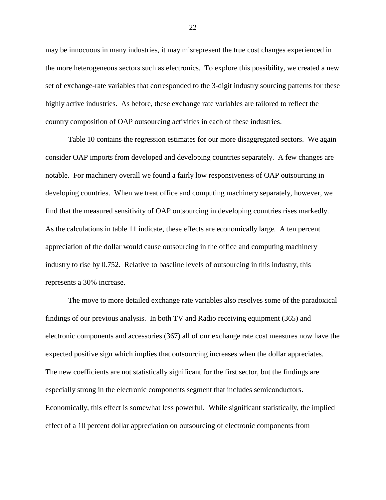may be innocuous in many industries, it may misrepresent the true cost changes experienced in the more heterogeneous sectors such as electronics. To explore this possibility, we created a new set of exchange-rate variables that corresponded to the 3-digit industry sourcing patterns for these highly active industries. As before, these exchange rate variables are tailored to reflect the country composition of OAP outsourcing activities in each of these industries.

Table 10 contains the regression estimates for our more disaggregated sectors. We again consider OAP imports from developed and developing countries separately. A few changes are notable. For machinery overall we found a fairly low responsiveness of OAP outsourcing in developing countries. When we treat office and computing machinery separately, however, we find that the measured sensitivity of OAP outsourcing in developing countries rises markedly. As the calculations in table 11 indicate, these effects are economically large. A ten percent appreciation of the dollar would cause outsourcing in the office and computing machinery industry to rise by 0.752. Relative to baseline levels of outsourcing in this industry, this represents a 30% increase.

The move to more detailed exchange rate variables also resolves some of the paradoxical findings of our previous analysis. In both TV and Radio receiving equipment (365) and electronic components and accessories (367) all of our exchange rate cost measures now have the expected positive sign which implies that outsourcing increases when the dollar appreciates. The new coefficients are not statistically significant for the first sector, but the findings are especially strong in the electronic components segment that includes semiconductors. Economically, this effect is somewhat less powerful. While significant statistically, the implied effect of a 10 percent dollar appreciation on outsourcing of electronic components from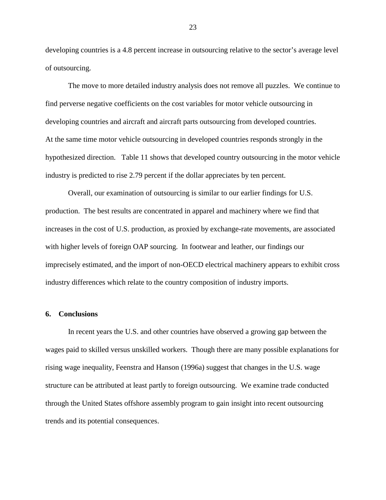developing countries is a 4.8 percent increase in outsourcing relative to the sector's average level of outsourcing.

The move to more detailed industry analysis does not remove all puzzles. We continue to find perverse negative coefficients on the cost variables for motor vehicle outsourcing in developing countries and aircraft and aircraft parts outsourcing from developed countries. At the same time motor vehicle outsourcing in developed countries responds strongly in the hypothesized direction. Table 11 shows that developed country outsourcing in the motor vehicle industry is predicted to rise 2.79 percent if the dollar appreciates by ten percent.

Overall, our examination of outsourcing is similar to our earlier findings for U.S. production. The best results are concentrated in apparel and machinery where we find that increases in the cost of U.S. production, as proxied by exchange-rate movements, are associated with higher levels of foreign OAP sourcing. In footwear and leather, our findings our imprecisely estimated, and the import of non-OECD electrical machinery appears to exhibit cross industry differences which relate to the country composition of industry imports.

#### **6. Conclusions**

In recent years the U.S. and other countries have observed a growing gap between the wages paid to skilled versus unskilled workers. Though there are many possible explanations for rising wage inequality, Feenstra and Hanson (1996a) suggest that changes in the U.S. wage structure can be attributed at least partly to foreign outsourcing. We examine trade conducted through the United States offshore assembly program to gain insight into recent outsourcing trends and its potential consequences.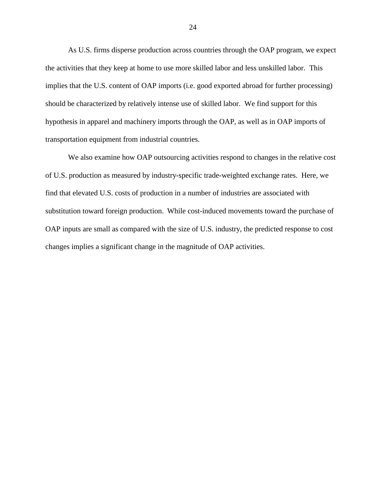As U.S. firms disperse production across countries through the OAP program, we expect the activities that they keep at home to use more skilled labor and less unskilled labor. This implies that the U.S. content of OAP imports (i.e. good exported abroad for further processing) should be characterized by relatively intense use of skilled labor. We find support for this hypothesis in apparel and machinery imports through the OAP, as well as in OAP imports of transportation equipment from industrial countries.

We also examine how OAP outsourcing activities respond to changes in the relative cost of U.S. production as measured by industry-specific trade-weighted exchange rates. Here, we find that elevated U.S. costs of production in a number of industries are associated with substitution toward foreign production. While cost-induced movements toward the purchase of OAP inputs are small as compared with the size of U.S. industry, the predicted response to cost changes implies a significant change in the magnitude of OAP activities.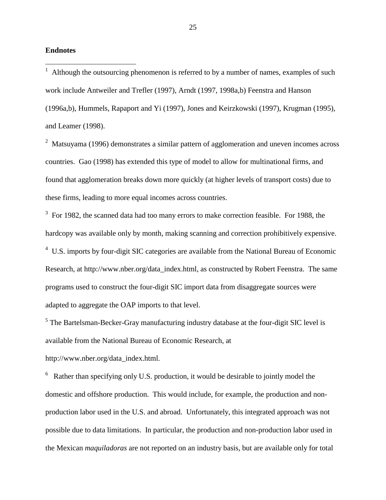#### **Endnotes**

<sup>1</sup> Although the outsourcing phenomenon is referred to by a number of names, examples of such work include Antweiler and Trefler (1997), Arndt (1997, 1998a,b) Feenstra and Hanson (1996a,b), Hummels, Rapaport and Yi (1997), Jones and Keirzkowski (1997), Krugman (1995), and Leamer (1998).

<sup>2</sup> Matsuyama (1996) demonstrates a similar pattern of agglomeration and uneven incomes across countries. Gao (1998) has extended this type of model to allow for multinational firms, and found that agglomeration breaks down more quickly (at higher levels of transport costs) due to these firms, leading to more equal incomes across countries.

 $3$  For 1982, the scanned data had too many errors to make correction feasible. For 1988, the hardcopy was available only by month, making scanning and correction prohibitively expensive. <sup>4</sup> U.S. imports by four-digit SIC categories are available from the National Bureau of Economic Research, at http://www.nber.org/data\_index.html, as constructed by Robert Feenstra. The same programs used to construct the four-digit SIC import data from disaggregate sources were adapted to aggregate the OAP imports to that level.

<sup>5</sup> The Bartelsman-Becker-Gray manufacturing industry database at the four-digit SIC level is available from the National Bureau of Economic Research, at

http://www.nber.org/data\_index.html.

<sup>6</sup> Rather than specifying only U.S. production, it would be desirable to jointly model the domestic and offshore production. This would include, for example, the production and nonproduction labor used in the U.S. and abroad. Unfortunately, this integrated approach was not possible due to data limitations. In particular, the production and non-production labor used in the Mexican *maquiladoras* are not reported on an industry basis, but are available only for total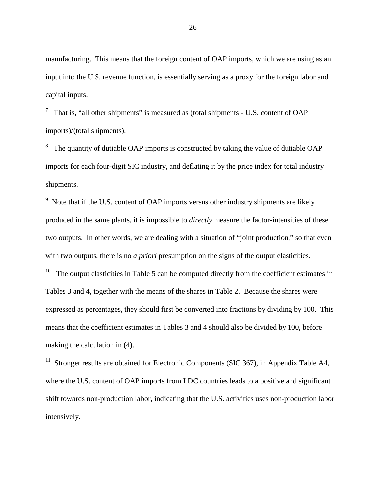manufacturing. This means that the foreign content of OAP imports, which we are using as an input into the U.S. revenue function, is essentially serving as a proxy for the foreign labor and capital inputs.

 $7$  That is, "all other shipments" is measured as (total shipments - U.S. content of OAP imports)/(total shipments).

 $\overline{a}$ 

<sup>8</sup> The quantity of dutiable OAP imports is constructed by taking the value of dutiable OAP imports for each four-digit SIC industry, and deflating it by the price index for total industry shipments.

 $9$  Note that if the U.S. content of OAP imports versus other industry shipments are likely produced in the same plants, it is impossible to *directly* measure the factor-intensities of these two outputs. In other words, we are dealing with a situation of "joint production," so that even with two outputs, there is no *a priori* presumption on the signs of the output elasticities.

The output elasticities in Table 5 can be computed directly from the coefficient estimates in Tables 3 and 4, together with the means of the shares in Table 2. Because the shares were expressed as percentages, they should first be converted into fractions by dividing by 100. This means that the coefficient estimates in Tables 3 and 4 should also be divided by 100, before making the calculation in (4).

<sup>11</sup> Stronger results are obtained for Electronic Components (SIC 367), in Appendix Table A4, where the U.S. content of OAP imports from LDC countries leads to a positive and significant shift towards non-production labor, indicating that the U.S. activities uses non-production labor intensively.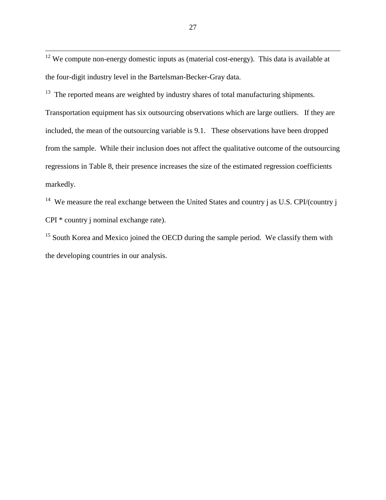$12$  We compute non-energy domestic inputs as (material cost-energy). This data is available at the four-digit industry level in the Bartelsman-Becker-Gray data.

 $13$  The reported means are weighted by industry shares of total manufacturing shipments. Transportation equipment has six outsourcing observations which are large outliers. If they are included, the mean of the outsourcing variable is 9.1. These observations have been dropped from the sample. While their inclusion does not affect the qualitative outcome of the outsourcing regressions in Table 8, their presence increases the size of the estimated regression coefficients markedly.

<sup>14</sup> We measure the real exchange between the United States and country j as U.S. CPI/(country j CPI \* country j nominal exchange rate).

<sup>15</sup> South Korea and Mexico joined the OECD during the sample period. We classify them with the developing countries in our analysis.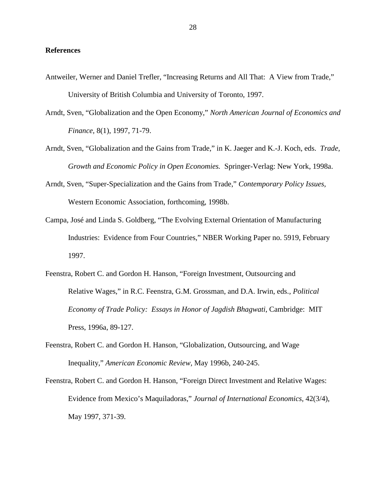### **References**

- Antweiler, Werner and Daniel Trefler, "Increasing Returns and All That: A View from Trade," University of British Columbia and University of Toronto, 1997.
- Arndt, Sven, "Globalization and the Open Economy," *North American Journal of Economics and Finance,* 8(1), 1997, 71-79.
- Arndt, Sven, "Globalization and the Gains from Trade," in K. Jaeger and K.-J. Koch, eds. *Trade, Growth and Economic Policy in Open Economies.* Springer-Verlag: New York, 1998a.
- Arndt, Sven, "Super-Specialization and the Gains from Trade," *Contemporary Policy Issues,* Western Economic Association, forthcoming, 1998b.
- Campa, José and Linda S. Goldberg, "The Evolving External Orientation of Manufacturing Industries: Evidence from Four Countries," NBER Working Paper no. 5919, February 1997.
- Feenstra, Robert C. and Gordon H. Hanson, "Foreign Investment, Outsourcing and Relative Wages," in R.C. Feenstra, G.M. Grossman, and D.A. Irwin, eds*., Political Economy of Trade Policy: Essays in Honor of Jagdish Bhagwati*, Cambridge: MIT Press, 1996a, 89-127.
- Feenstra, Robert C. and Gordon H. Hanson, "Globalization, Outsourcing, and Wage Inequality," *American Economic Review,* May 1996b, 240-245.
- Feenstra, Robert C. and Gordon H. Hanson, "Foreign Direct Investment and Relative Wages: Evidence from Mexico's Maquiladoras," *Journal of International Economics,* 42(3/4), May 1997, 371-39.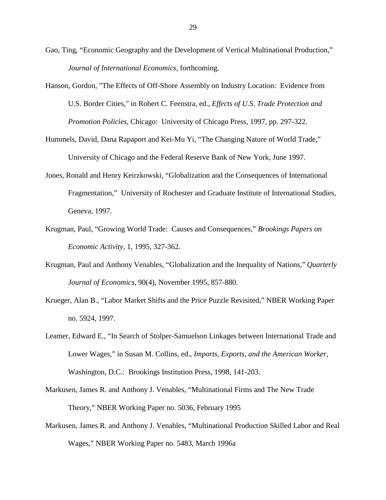- Gao, Ting, "Economic Geography and the Development of Vertical Multinational Production," *Journal of International Economics,* forthcoming.
- Hanson, Gordon, "The Effects of Off-Shore Assembly on Industry Location: Evidence from U.S. Border Cities," in Robert C. Feenstra, ed., *Effects of U.S. Trade Protection and Promotion Policies*, Chicago: University of Chicago Press, 1997, pp. 297-322.
- Hummels, David, Dana Rapaport and Kei-Mu Yi, "The Changing Nature of World Trade," University of Chicago and the Federal Reserve Bank of New York, June 1997.
- Jones, Ronald and Henry Keirzkowski, "Globalization and the Consequences of International Fragmentation," University of Rochester and Graduate Institute of International Studies, Geneva, 1997.
- Krugman, Paul, "Growing World Trade: Causes and Consequences," *Brookings Papers on Economic Activity,* 1, 1995, 327-362.
- Krugman, Paul and Anthony Venables, "Globalization and the Inequality of Nations," *Quarterly Journal of Economics,* 90(4), November 1995, 857-880.
- Krueger, Alan B., "Labor Market Shifts and the Price Puzzle Revisited," NBER Working Paper no. 5924, 1997.
- Leamer, Edward E., "In Search of Stolper-Samuelson Linkages between International Trade and Lower Wages," in Susan M. Collins, ed., *Imports, Exports, and the American Worker*, Washington, D.C.: Brookings Institution Press, 1998, 141-203.
- Markusen, James R. and Anthony J. Venables, "Multinational Firms and The New Trade Theory," NBER Working Paper no. 5036, February 1995
- Markusen, James R. and Anthony J. Venables, "Multinational Production Skilled Labor and Real Wages," NBER Working Paper no. 5483, March 1996a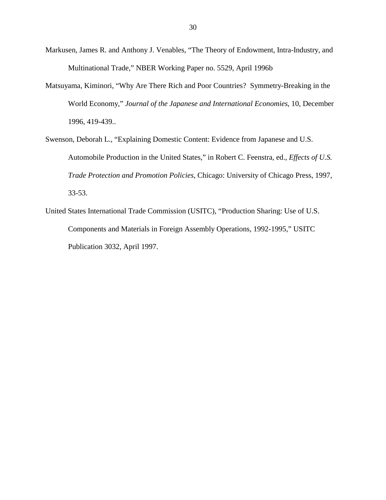- Markusen, James R. and Anthony J. Venables, "The Theory of Endowment, Intra-Industry, and Multinational Trade," NBER Working Paper no. 5529, April 1996b
- Matsuyama, Kiminori, "Why Are There Rich and Poor Countries? Symmetry-Breaking in the World Economy," *Journal of the Japanese and International Economies*, 10, December 1996, 419-439..
- Swenson, Deborah L., "Explaining Domestic Content: Evidence from Japanese and U.S. Automobile Production in the United States," in Robert C. Feenstra, ed., *Effects of U.S. Trade Protection and Promotion Policies*, Chicago: University of Chicago Press, 1997, 33-53.
- United States International Trade Commission (USITC), "Production Sharing: Use of U.S. Components and Materials in Foreign Assembly Operations, 1992-1995," USITC Publication 3032, April 1997.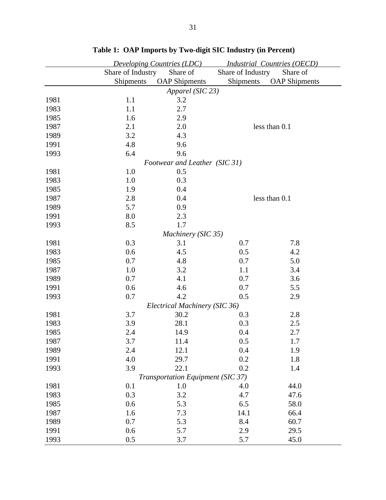|      | <b>Developing Countries (LDC)</b> |                                   |                   | <b>Industrial Countries (OECD)</b> |
|------|-----------------------------------|-----------------------------------|-------------------|------------------------------------|
|      | Share of Industry                 | Share of                          | Share of Industry | Share of                           |
|      | Shipments                         | <b>OAP</b> Shipments              | Shipments         | <b>OAP</b> Shipments               |
|      |                                   | Apparel (SIC 23)                  |                   |                                    |
| 1981 | 1.1                               | 3.2                               |                   |                                    |
| 1983 | 1.1                               | 2.7                               |                   |                                    |
| 1985 | 1.6                               | 2.9                               |                   |                                    |
| 1987 | 2.1                               | 2.0                               |                   | less than 0.1                      |
| 1989 | 3.2                               | 4.3                               |                   |                                    |
| 1991 | 4.8                               | 9.6                               |                   |                                    |
| 1993 | 6.4                               | 9.6                               |                   |                                    |
|      |                                   | Footwear and Leather (SIC 31)     |                   |                                    |
| 1981 | 1.0                               | 0.5                               |                   |                                    |
| 1983 | 1.0                               | 0.3                               |                   |                                    |
| 1985 | 1.9                               | 0.4                               |                   |                                    |
| 1987 | 2.8                               | 0.4                               |                   | less than 0.1                      |
| 1989 | 5.7                               | 0.9                               |                   |                                    |
| 1991 | 8.0                               | 2.3                               |                   |                                    |
| 1993 | 8.5                               | 1.7                               |                   |                                    |
|      |                                   | Machinery (SIC 35)                |                   |                                    |
| 1981 | 0.3                               | 3.1                               | 0.7               | 7.8                                |
| 1983 | 0.6                               | 4.5                               | 0.5               | 4.2                                |
| 1985 | 0.7                               | 4.8                               | 0.7               | 5.0                                |
| 1987 | 1.0                               | 3.2                               | 1.1               | 3.4                                |
| 1989 | 0.7                               | 4.1                               | 0.7               | 3.6                                |
| 1991 | 0.6                               | 4.6                               | 0.7               | 5.5                                |
| 1993 | 0.7                               | 4.2                               | 0.5               | 2.9                                |
|      |                                   | Electrical Machinery (SIC 36)     |                   |                                    |
| 1981 | 3.7                               | 30.2                              | 0.3               | 2.8                                |
| 1983 | 3.9                               | 28.1                              | 0.3               | 2.5                                |
| 1985 | 2.4                               | 14.9                              | 0.4               | 2.7                                |
| 1987 | 3.7                               | 11.4                              | 0.5               | 1.7                                |
| 1989 | 2.4                               | 12.1                              | 0.4               | 1.9                                |
| 1991 | 4.0                               | 29.7                              | 0.2               | 1.8                                |
| 1993 | 3.9                               | 22.1                              | 0.2               | 1.4                                |
|      |                                   | Transportation Equipment (SIC 37) |                   |                                    |
| 1981 | 0.1                               | 1.0                               | 4.0               | 44.0                               |
| 1983 | 0.3                               | 3.2                               | 4.7               | 47.6                               |
| 1985 | 0.6                               | 5.3                               | 6.5               | 58.0                               |
| 1987 | 1.6                               | 7.3                               | 14.1              | 66.4                               |
| 1989 | 0.7                               | 5.3                               | 8.4               | 60.7                               |
| 1991 | 0.6                               | 5.7                               | 2.9               | 29.5                               |
| 1993 | 0.5                               | 3.7                               | 5.7               | 45.0                               |

**Table 1: OAP Imports by Two-digit SIC Industry (in Percent)**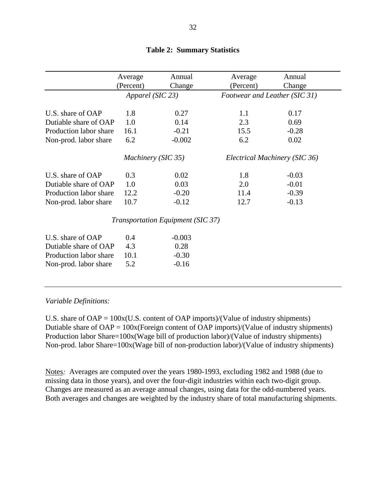|                        | Average            | Annual                            | Average                       | Annual                        |
|------------------------|--------------------|-----------------------------------|-------------------------------|-------------------------------|
|                        | (Percent)          | Change                            | (Percent)                     | Change                        |
|                        | Apparel (SIC 23)   |                                   | Footwear and Leather (SIC 31) |                               |
| U.S. share of OAP      | 1.8                | 0.27                              | 1.1                           | 0.17                          |
| Dutiable share of OAP  | 1.0                | 0.14                              | 2.3                           | 0.69                          |
| Production labor share | 16.1               | $-0.21$                           | 15.5                          | $-0.28$                       |
| Non-prod. labor share  | 6.2                | $-0.002$                          | 6.2                           | 0.02                          |
|                        | Machinery (SIC 35) |                                   |                               | Electrical Machinery (SIC 36) |
| U.S. share of OAP      | 0.3                | 0.02                              | 1.8                           | $-0.03$                       |
| Dutiable share of OAP  | 1.0                | 0.03                              | 2.0                           | $-0.01$                       |
| Production labor share | 12.2               | $-0.20$                           | 11.4                          | $-0.39$                       |
| Non-prod. labor share  | 10.7               | $-0.12$                           | 12.7                          | $-0.13$                       |
|                        |                    | Transportation Equipment (SIC 37) |                               |                               |
| U.S. share of OAP      | 0.4                | $-0.003$                          |                               |                               |
| Dutiable share of OAP  | 4.3                | 0.28                              |                               |                               |
| Production labor share | 10.1               | $-0.30$                           |                               |                               |
| Non-prod. labor share  | 5.2                | $-0.16$                           |                               |                               |
|                        |                    |                                   |                               |                               |

### **Table 2: Summary Statistics**

### *Variable Definitions:*

U.S. share of  $OAP = 100x$ (U.S. content of  $OAP$  imports)/(Value of industry shipments) Dutiable share of  $OAP = 100x$  (Foreign content of  $OAP$  imports)/(Value of industry shipments) Production labor Share=100x(Wage bill of production labor)/(Value of industry shipments) Non-prod. labor Share=100x(Wage bill of non-production labor)/(Value of industry shipments)

Notes*:* Averages are computed over the years 1980-1993, excluding 1982 and 1988 (due to missing data in those years), and over the four-digit industries within each two-digit group. Changes are measured as an average annual changes, using data for the odd-numbered years. Both averages and changes are weighted by the industry share of total manufacturing shipments.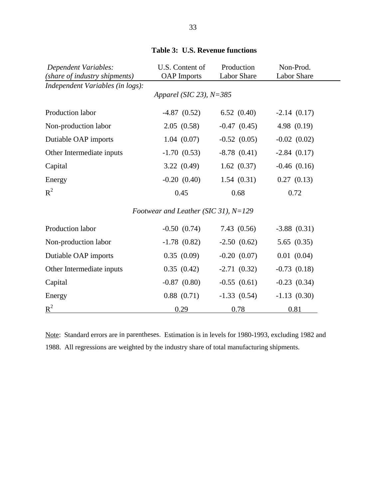| Dependent Variables:             | U.S. Content of                        | Production    | Non-Prod.        |
|----------------------------------|----------------------------------------|---------------|------------------|
| (share of industry shipments)    | <b>OAP</b> Imports                     | Labor Share   | Labor Share      |
| Independent Variables (in logs): |                                        |               |                  |
|                                  | Apparel (SIC 23), $N=385$              |               |                  |
| Production labor                 | $-4.87(0.52)$                          | 6.52(0.40)    | $-2.14(0.17)$    |
| Non-production labor             | 2.05(0.58)                             | $-0.47(0.45)$ | 4.98 (0.19)      |
| Dutiable OAP imports             | 1.04(0.07)                             | $-0.52(0.05)$ | $-0.02$ $(0.02)$ |
| Other Intermediate inputs        | $-1.70(0.53)$                          | $-8.78(0.41)$ | $-2.84(0.17)$    |
| Capital                          | 3.22(0.49)                             | 1.62(0.37)    | $-0.46$ $(0.16)$ |
| Energy                           | $-0.20(0.40)$                          | 1.54(0.31)    | 0.27(0.13)       |
| $R^2$                            | 0.45                                   | 0.68          | 0.72             |
|                                  | Footwear and Leather (SIC 31), $N=129$ |               |                  |
| Production labor                 | $-0.50$ $(0.74)$                       | 7.43(0.56)    | $-3.88$ $(0.31)$ |
| Non-production labor             | $-1.78$ $(0.82)$                       | $-2.50(0.62)$ | 5.65(0.35)       |
| Dutiable OAP imports             | 0.35(0.09)                             | $-0.20(0.07)$ | 0.01(0.04)       |
| Other Intermediate inputs        | 0.35(0.42)                             | $-2.71(0.32)$ | $-0.73$ $(0.18)$ |
| Capital                          | $-0.87$ $(0.80)$                       | $-0.55(0.61)$ | $-0.23$ $(0.34)$ |
| Energy                           | 0.88(0.71)                             | $-1.33(0.54)$ | $-1.13(0.30)$    |
| $R^2$                            | 0.29                                   | 0.78          | 0.81             |

# **Table 3: U.S. Revenue functions**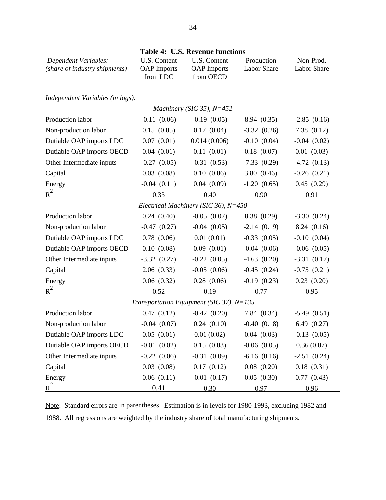|                                  |                    | <b>Table 4: U.S. Revenue functions</b>     |                    |                    |
|----------------------------------|--------------------|--------------------------------------------|--------------------|--------------------|
| Dependent Variables:             | U.S. Content       | U.S. Content                               | Production         | Non-Prod.          |
| (share of industry shipments)    | <b>OAP</b> Imports | <b>OAP</b> Imports                         | <b>Labor Share</b> | <b>Labor Share</b> |
|                                  | from LDC           | from OECD                                  |                    |                    |
| Independent Variables (in logs): |                    |                                            |                    |                    |
|                                  |                    | Machinery (SIC 35), $N=452$                |                    |                    |
| Production labor                 | $-0.11(0.06)$      | $-0.19$ $(0.05)$                           | 8.94 (0.35)        | $-2.85(0.16)$      |
| Non-production labor             | 0.15(0.05)         | 0.17(0.04)                                 | $-3.32(0.26)$      | 7.38(0.12)         |
| Dutiable OAP imports LDC         | 0.07(0.01)         | 0.014(0.006)                               | $-0.10(0.04)$      | $-0.04$ $(0.02)$   |
| Dutiable OAP imports OECD        | 0.04(0.01)         | 0.11(0.01)                                 | 0.18(0.07)         | 0.01(0.03)         |
| Other Intermediate inputs        | $-0.27(0.05)$      | $-0.31(0.53)$                              | $-7.33(0.29)$      | $-4.72(0.13)$      |
| Capital                          | 0.03(0.08)         | 0.10(0.06)                                 | 3.80(0.46)         | $-0.26$ $(0.21)$   |
| Energy                           | $-0.04$ $(0.11)$   | 0.04(0.09)                                 | $-1.20(0.65)$      | 0.45(0.29)         |
| $R^2$                            | 0.33               | 0.40                                       | 0.90               | 0.91               |
|                                  |                    | Electrical Machinery (SIC 36), N=450       |                    |                    |
| Production labor                 | 0.24(0.40)         | $-0.05$ $(0.07)$                           | 8.38 (0.29)        | $-3.30(0.24)$      |
| Non-production labor             | $-0.47(0.27)$      | $-0.04$ $(0.05)$                           | $-2.14(0.19)$      | 8.24(0.16)         |
| Dutiable OAP imports LDC         | 0.78(0.06)         | 0.01(0.01)                                 | $-0.33$ $(0.05)$   | $-0.10$ $(0.04)$   |
| Dutiable OAP imports OECD        | 0.10(0.08)         | 0.09(0.01)                                 | $-0.04$ $(0.06)$   | $-0.06$ $(0.05)$   |
| Other Intermediate inputs        | $-3.32(0.27)$      | $-0.22$ $(0.05)$                           | $-4.63(0.20)$      | $-3.31(0.17)$      |
| Capital                          | 2.06(0.33)         | $-0.05$ $(0.06)$                           | $-0.45(0.24)$      | $-0.75(0.21)$      |
| Energy                           | 0.06(0.32)         | 0.28(0.06)                                 | $-0.19$ $(0.23)$   | 0.23(0.20)         |
| $R^2$                            | 0.52               | 0.19                                       | 0.77               | 0.95               |
|                                  |                    | Transportation Equipment (SIC 37), $N=135$ |                    |                    |
| Production labor                 | 0.47(0.12)         | $-0.42(0.20)$                              | 7.84(0.34)         | $-5.49(0.51)$      |
| Non-production labor             | $-0.04$ $(0.07)$   | 0.24(0.10)                                 | $-0.40(0.18)$      | 6.49(0.27)         |
| Dutiable OAP imports LDC         | 0.05(0.01)         | 0.01(0.02)                                 | $0.04$ $(0.03)$    | $-0.13$ $(0.05)$   |
| Dutiable OAP imports OECD        | $-0.01$ $(0.02)$   | 0.15(0.03)                                 | $-0.06$ $(0.05)$   | 0.36(0.07)         |
| Other Intermediate inputs        | $-0.22(0.06)$      | $-0.31(0.09)$                              | $-6.16$ $(0.16)$   | $-2.51(0.24)$      |
| Capital                          | 0.03(0.08)         | 0.17(0.12)                                 | $0.08$ $(0.20)$    | 0.18(0.31)         |
| Energy                           | 0.06(0.11)         | $-0.01$ $(0.17)$                           | 0.05(0.30)         | 0.77(0.43)         |
| $R^2$                            | 0.41               | 0.30                                       | 0.97               | 0.96               |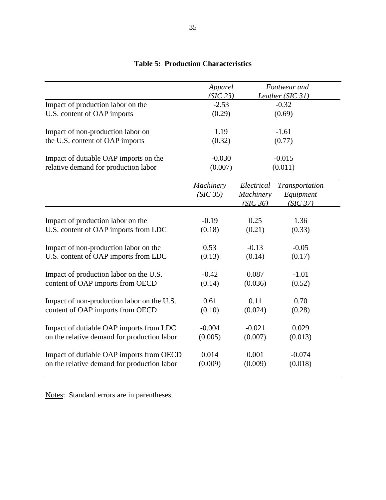|                                             | Apparel               |                                     | Footwear and                            |  |
|---------------------------------------------|-----------------------|-------------------------------------|-----------------------------------------|--|
|                                             | (SIC 23)              |                                     | Leather (SIC 31)                        |  |
| Impact of production labor on the           | $-2.53$               |                                     | $-0.32$                                 |  |
| U.S. content of OAP imports                 | (0.29)                |                                     | (0.69)                                  |  |
|                                             | 1.19                  |                                     | $-1.61$                                 |  |
| Impact of non-production labor on           |                       |                                     |                                         |  |
| the U.S. content of OAP imports             | (0.32)                |                                     | (0.77)                                  |  |
| Impact of dutiable OAP imports on the       | $-0.030$              |                                     | $-0.015$                                |  |
| relative demand for production labor        | (0.007)               |                                     | (0.011)                                 |  |
|                                             | Machinery<br>(SIC 35) | Electrical<br>Machinery<br>(SIC 36) | Transportation<br>Equipment<br>(SIC 37) |  |
| Impact of production labor on the           | $-0.19$               | 0.25                                | 1.36                                    |  |
| U.S. content of OAP imports from LDC        | (0.18)                | (0.21)                              | (0.33)                                  |  |
| Impact of non-production labor on the       | 0.53                  | $-0.13$                             | $-0.05$                                 |  |
| U.S. content of OAP imports from LDC        | (0.13)                | (0.14)                              | (0.17)                                  |  |
| Impact of production labor on the U.S.      | $-0.42$               | 0.087                               | $-1.01$                                 |  |
| content of OAP imports from OECD            | (0.14)                | (0.036)                             | (0.52)                                  |  |
| Impact of non-production labor on the U.S.  | 0.61                  | 0.11                                | 0.70                                    |  |
| content of OAP imports from OECD            | (0.10)                | (0.024)                             | (0.28)                                  |  |
| Impact of dutiable OAP imports from LDC     | $-0.004$              | $-0.021$                            | 0.029                                   |  |
| on the relative demand for production labor | (0.005)               | (0.007)                             | (0.013)                                 |  |
| Impact of dutiable OAP imports from OECD    | 0.014                 | 0.001                               | $-0.074$                                |  |
| on the relative demand for production labor | (0.009)               | (0.009)                             | (0.018)                                 |  |
|                                             |                       |                                     |                                         |  |

# **Table 5: Production Characteristics**

Notes: Standard errors are in parentheses.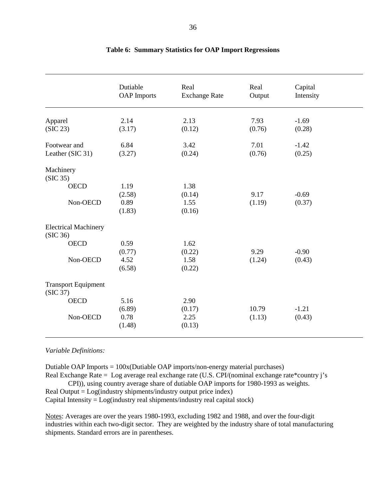|                                         | Dutiable           | Real                 | Real   | Capital   |
|-----------------------------------------|--------------------|----------------------|--------|-----------|
|                                         | <b>OAP</b> Imports | <b>Exchange Rate</b> | Output | Intensity |
| Apparel                                 | 2.14               | 2.13                 | 7.93   | $-1.69$   |
| (SIC 23)                                | (3.17)             | (0.12)               | (0.76) | (0.28)    |
| Footwear and                            | 6.84               | 3.42                 | 7.01   | $-1.42$   |
| Leather (SIC 31)                        | (3.27)             | (0.24)               | (0.76) | (0.25)    |
| Machinery<br>(SIC 35)                   |                    |                      |        |           |
| <b>OECD</b>                             | 1.19               | 1.38                 |        |           |
|                                         | (2.58)             | (0.14)               | 9.17   | $-0.69$   |
| Non-OECD                                | 0.89               | 1.55                 | (1.19) | (0.37)    |
|                                         | (1.83)             | (0.16)               |        |           |
| <b>Electrical Machinery</b><br>(SIC 36) |                    |                      |        |           |
| <b>OECD</b>                             | 0.59               | 1.62                 |        |           |
|                                         | (0.77)             | (0.22)               | 9.29   | $-0.90$   |
| Non-OECD                                | 4.52               | 1.58                 | (1.24) | (0.43)    |
|                                         | (6.58)             | (0.22)               |        |           |
| <b>Transport Equipment</b><br>(SIC 37)  |                    |                      |        |           |
| <b>OECD</b>                             | 5.16               | 2.90                 |        |           |
|                                         | (6.89)             | (0.17)               | 10.79  | $-1.21$   |
| Non-OECD                                | 0.78               | 2.25                 | (1.13) | (0.43)    |
|                                         | (1.48)             | (0.13)               |        |           |

#### **Table 6: Summary Statistics for OAP Import Regressions**

#### *Variable Definitions:*

Dutiable OAP Imports = 100x(Dutiable OAP imports/non-energy material purchases) Real Exchange Rate = Log average real exchange rate (U.S. CPI/(nominal exchange rate\*country j's

CPI)), using country average share of dutiable OAP imports for 1980-1993 as weights.

Real Output  $=$  Log(industry shipments/industry output price index)

Capital Intensity = Log(industry real shipments/industry real capital stock)

Notes: Averages are over the years 1980-1993, excluding 1982 and 1988, and over the four-digit industries within each two-digit sector. They are weighted by the industry share of total manufacturing shipments. Standard errors are in parentheses.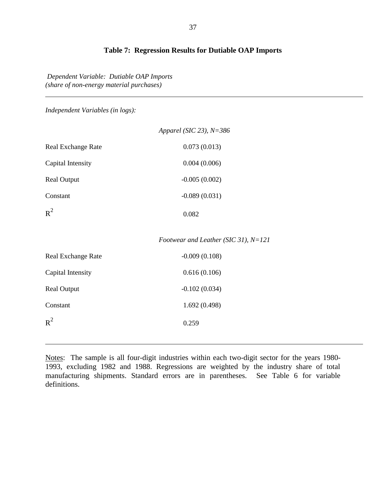### **Table 7: Regression Results for Dutiable OAP Imports**

 *Dependent Variable: Dutiable OAP Imports (share of non-energy material purchases)*

*Independent Variables (in logs):*

 $\overline{a}$ 

 $\overline{a}$ 

|                           | Apparel (SIC 23), $N=386$ |
|---------------------------|---------------------------|
| <b>Real Exchange Rate</b> | 0.073(0.013)              |
| Capital Intensity         | 0.004(0.006)              |
| <b>Real Output</b>        | $-0.005(0.002)$           |
| Constant                  | $-0.089(0.031)$           |
| $R^2$                     | 0.082                     |

*Footwear and Leather (SIC 31), N=121*

| <b>Real Exchange Rate</b> | $-0.009(0.108)$ |
|---------------------------|-----------------|
| Capital Intensity         | 0.616(0.106)    |
| <b>Real Output</b>        | $-0.102(0.034)$ |
| Constant                  | 1.692(0.498)    |
| $R^2$                     | 0.259           |
|                           |                 |

Notes: The sample is all four-digit industries within each two-digit sector for the years 1980- 1993, excluding 1982 and 1988. Regressions are weighted by the industry share of total manufacturing shipments. Standard errors are in parentheses. See Table 6 for variable definitions.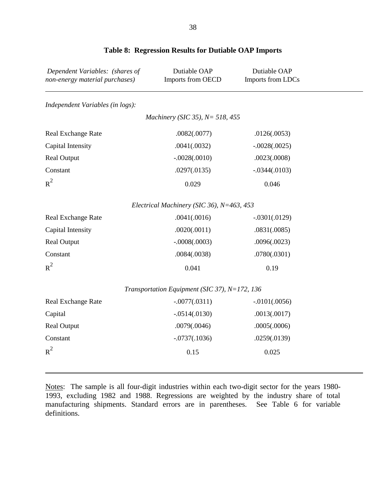| Dependent Variables: (shares of<br>non-energy material purchases) | Dutiable OAP<br>Imports from OECD             | Dutiable OAP<br>Imports from LDCs |  |
|-------------------------------------------------------------------|-----------------------------------------------|-----------------------------------|--|
| Independent Variables (in logs):                                  |                                               |                                   |  |
|                                                                   | Machinery (SIC 35), $N = 518, 455$            |                                   |  |
| Real Exchange Rate                                                | .0082(.0077)                                  | .0126(.0053)                      |  |
| Capital Intensity                                                 | .0041(.0032)                                  | $-.0028(.0025)$                   |  |
| <b>Real Output</b>                                                | $-.0028(.0010)$                               | .0023(.0008)                      |  |
| Constant                                                          | .0297(.0135)                                  | $-.0344(.0103)$                   |  |
| $R^2$                                                             | 0.029                                         | 0.046                             |  |
|                                                                   | Electrical Machinery (SIC 36), N=463, 453     |                                   |  |
| <b>Real Exchange Rate</b>                                         | .0041(.0016)                                  | $-.0301(.0129)$                   |  |
| Capital Intensity                                                 | .0020(.0011)                                  | .0831(.0085)                      |  |
| <b>Real Output</b>                                                | $-.0008(.0003)$                               | .0096(.0023)                      |  |
| Constant                                                          | .0084(.0038)                                  | .0780(.0301)                      |  |
| $R^2$                                                             | 0.041                                         | 0.19                              |  |
|                                                                   | Transportation Equipment (SIC 37), N=172, 136 |                                   |  |
| <b>Real Exchange Rate</b>                                         | $-.0077(.0311)$                               | $-.0101(.0056)$                   |  |
| Capital                                                           | $-.0514(.0130)$                               | .0013(.0017)                      |  |
| <b>Real Output</b>                                                | .0079(.0046)                                  | .0005(.0006)                      |  |
| Constant                                                          | $-.0737(.1036)$                               | .0259(.0139)                      |  |
| $R^2$                                                             | 0.15                                          | 0.025                             |  |

# **Table 8: Regression Results for Dutiable OAP Imports**

Notes: The sample is all four-digit industries within each two-digit sector for the years 1980- 1993, excluding 1982 and 1988. Regressions are weighted by the industry share of total manufacturing shipments. Standard errors are in parentheses. See Table 6 for variable definitions.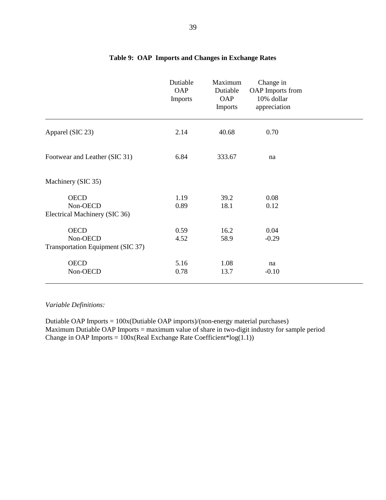|                                   | Dutiable<br><b>OAP</b><br>Imports | Maximum<br>Dutiable<br><b>OAP</b><br>Imports | Change in<br>OAP Imports from<br>10% dollar<br>appreciation |  |
|-----------------------------------|-----------------------------------|----------------------------------------------|-------------------------------------------------------------|--|
| Apparel (SIC 23)                  | 2.14                              | 40.68                                        | 0.70                                                        |  |
| Footwear and Leather (SIC 31)     | 6.84                              | 333.67                                       | na                                                          |  |
| Machinery (SIC 35)                |                                   |                                              |                                                             |  |
| <b>OECD</b>                       | 1.19                              | 39.2                                         | 0.08                                                        |  |
| Non-OECD                          | 0.89                              | 18.1                                         | 0.12                                                        |  |
| Electrical Machinery (SIC 36)     |                                   |                                              |                                                             |  |
| <b>OECD</b>                       | 0.59                              | 16.2                                         | 0.04                                                        |  |
| Non-OECD                          | 4.52                              | 58.9                                         | $-0.29$                                                     |  |
| Transportation Equipment (SIC 37) |                                   |                                              |                                                             |  |
| <b>OECD</b>                       | 5.16                              | 1.08                                         | na                                                          |  |
| Non-OECD                          | 0.78                              | 13.7                                         | $-0.10$                                                     |  |

## **Table 9: OAP Imports and Changes in Exchange Rates**

*Variable Definitions:*

Dutiable OAP Imports = 100x(Dutiable OAP imports)/(non-energy material purchases) Maximum Dutiable OAP Imports = maximum value of share in two-digit industry for sample period Change in OAP Imports =  $100x$ (Real Exchange Rate Coefficient\*log(1.1))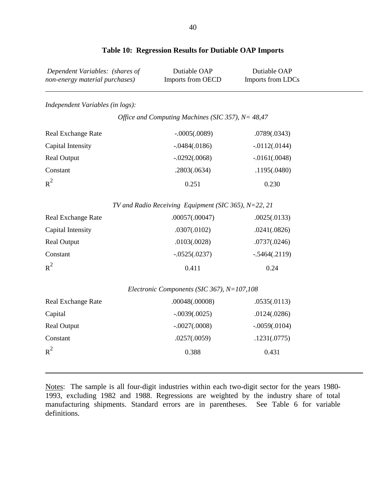| Dependent Variables: (shares of<br>non-energy material purchases) | Dutiable OAP<br>Imports from OECD                       | Dutiable OAP<br>Imports from LDCs |  |  |  |  |  |  |
|-------------------------------------------------------------------|---------------------------------------------------------|-----------------------------------|--|--|--|--|--|--|
| Independent Variables (in logs):                                  |                                                         |                                   |  |  |  |  |  |  |
|                                                                   | Office and Computing Machines (SIC 357), $N = 48,47$    |                                   |  |  |  |  |  |  |
| Real Exchange Rate                                                | $-.0005(.0089)$                                         | .0789(.0343)                      |  |  |  |  |  |  |
| Capital Intensity                                                 | $-.0484(.0186)$                                         | $-0.0112(.0144)$                  |  |  |  |  |  |  |
| <b>Real Output</b>                                                | $-.0292(.0068)$                                         | $-.0161(.0048)$                   |  |  |  |  |  |  |
| Constant                                                          | .2803(.0634)                                            | .1195(.0480)                      |  |  |  |  |  |  |
| $R^2$                                                             | 0.251                                                   | 0.230                             |  |  |  |  |  |  |
|                                                                   | TV and Radio Receiving Equipment (SIC 365), $N=22$ , 21 |                                   |  |  |  |  |  |  |
| Real Exchange Rate                                                | .00057(.00047)                                          | .0025(.0133)                      |  |  |  |  |  |  |
| Capital Intensity                                                 | .0307(.0102)                                            | .0241(.0826)                      |  |  |  |  |  |  |
| Real Output                                                       | .0103(.0028)                                            | .0737(.0246)                      |  |  |  |  |  |  |
| Constant                                                          | $-.0525(.0237)$                                         | $-.5464(.2119)$                   |  |  |  |  |  |  |
| $R^2$                                                             | 0.411                                                   | 0.24                              |  |  |  |  |  |  |
|                                                                   | Electronic Components (SIC 367), N=107,108              |                                   |  |  |  |  |  |  |
| Real Exchange Rate                                                | .00048(.00008)                                          | .0535(.0113)                      |  |  |  |  |  |  |
| Capital                                                           | $-.0039(.0025)$                                         | .0124(.0286)                      |  |  |  |  |  |  |
| Real Output                                                       | $-.0027(.0008)$                                         | $-.0059(.0104)$                   |  |  |  |  |  |  |
| Constant                                                          | .0257(.0059)                                            | .1231(.0775)                      |  |  |  |  |  |  |
| $R^2$                                                             | 0.388                                                   | 0.431                             |  |  |  |  |  |  |
|                                                                   |                                                         |                                   |  |  |  |  |  |  |

# **Table 10: Regression Results for Dutiable OAP Imports**

Notes: The sample is all four-digit industries within each two-digit sector for the years 1980- 1993, excluding 1982 and 1988. Regressions are weighted by the industry share of total manufacturing shipments. Standard errors are in parentheses. See Table 6 for variable definitions.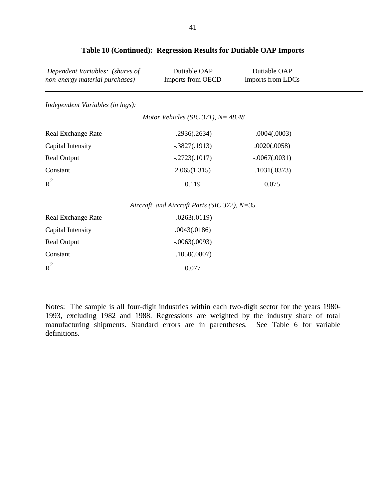| Dependent Variables: (shares of<br>non-energy material purchases) | Dutiable OAP<br>Imports from OECD             | Dutiable OAP<br>Imports from LDCs |  |
|-------------------------------------------------------------------|-----------------------------------------------|-----------------------------------|--|
| Independent Variables (in logs):                                  |                                               |                                   |  |
|                                                                   | Motor Vehicles (SIC 371), $N = 48,48$         |                                   |  |
| Real Exchange Rate                                                | .2936(.2634)                                  | $-.0004(.0003)$                   |  |
| Capital Intensity                                                 | $-.3827(.1913)$                               | .0020(.0058)                      |  |
| <b>Real Output</b>                                                | $-.2723(.1017)$                               | $-.0067(.0031)$                   |  |
| Constant                                                          | 2.065(1.315)                                  | .1031(.0373)                      |  |
| $R^2$                                                             | 0.119                                         | 0.075                             |  |
|                                                                   | Aircraft and Aircraft Parts (SIC 372), $N=35$ |                                   |  |
| Real Exchange Rate                                                | $-.0263(.0119)$                               |                                   |  |
| Capital Intensity                                                 | .0043(.0186)                                  |                                   |  |
| <b>Real Output</b>                                                | $-.0063(.0093)$                               |                                   |  |
| Constant                                                          | .1050(.0807)                                  |                                   |  |
| $R^2$                                                             | 0.077                                         |                                   |  |
|                                                                   |                                               |                                   |  |
|                                                                   |                                               |                                   |  |

### **Table 10 (Continued): Regression Results for Dutiable OAP Imports**

Notes: The sample is all four-digit industries within each two-digit sector for the years 1980- 1993, excluding 1982 and 1988. Regressions are weighted by the industry share of total manufacturing shipments. Standard errors are in parentheses. See Table 6 for variable definitions.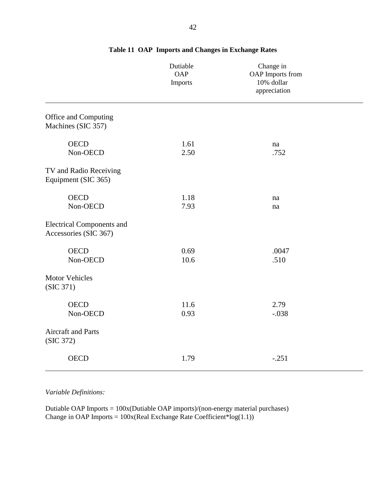|                                                           | Dutiable<br><b>OAP</b><br>Imports | Change in<br>OAP Imports from<br>10% dollar<br>appreciation |  |
|-----------------------------------------------------------|-----------------------------------|-------------------------------------------------------------|--|
| Office and Computing<br>Machines (SIC 357)                |                                   |                                                             |  |
| <b>OECD</b><br>Non-OECD                                   | 1.61<br>2.50                      | na<br>.752                                                  |  |
| TV and Radio Receiving<br>Equipment (SIC 365)             |                                   |                                                             |  |
| <b>OECD</b><br>Non-OECD                                   | 1.18<br>7.93                      | na<br>$\operatorname{na}$                                   |  |
| <b>Electrical Components and</b><br>Accessories (SIC 367) |                                   |                                                             |  |
| <b>OECD</b><br>Non-OECD                                   | 0.69<br>10.6                      | .0047<br>.510                                               |  |
| <b>Motor Vehicles</b><br>(SIC 371)                        |                                   |                                                             |  |
| <b>OECD</b><br>Non-OECD                                   | 11.6<br>0.93                      | 2.79<br>$-.038$                                             |  |
| <b>Aircraft and Parts</b><br>(SIC 372)                    |                                   |                                                             |  |
| <b>OECD</b>                                               | 1.79                              | $-.251$                                                     |  |

### **Table 11 OAP Imports and Changes in Exchange Rates**

*Variable Definitions:*

Dutiable OAP Imports = 100x(Dutiable OAP imports)/(non-energy material purchases) Change in OAP Imports =  $100x$ (Real Exchange Rate Coefficient\*log(1.1))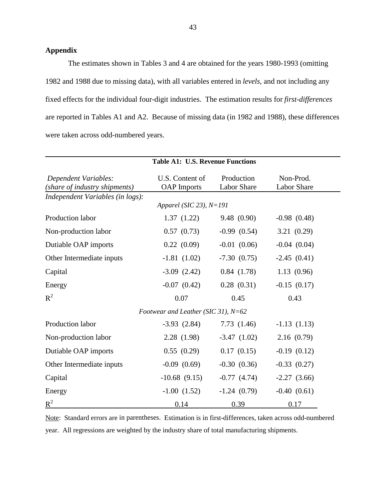### **Appendix**

The estimates shown in Tables 3 and 4 are obtained for the years 1980-1993 (omitting 1982 and 1988 due to missing data), with all variables entered in *levels*, and not including any fixed effects for the individual four-digit industries. The estimation results for *first-differences* are reported in Tables A1 and A2.Because of missing data (in 1982 and 1988), these differences were taken across odd-numbered years.

| <b>Table A1: U.S. Revenue Functions</b>               |                                       |                                  |                          |  |  |
|-------------------------------------------------------|---------------------------------------|----------------------------------|--------------------------|--|--|
| Dependent Variables:<br>(share of industry shipments) | U.S. Content of<br><b>OAP</b> Imports | Production<br><b>Labor Share</b> | Non-Prod.<br>Labor Share |  |  |
| Independent Variables (in logs):                      |                                       |                                  |                          |  |  |
|                                                       | Apparel (SIC 23), $N=191$             |                                  |                          |  |  |
| Production labor                                      | 1.37(1.22)                            | 9.48(0.90)                       | $-0.98$ $(0.48)$         |  |  |
| Non-production labor                                  | 0.57(0.73)                            | $-0.99(0.54)$                    | 3.21(0.29)               |  |  |
| Dutiable OAP imports                                  | 0.22(0.09)                            | $-0.01$ $(0.06)$                 | $-0.04$ $(0.04)$         |  |  |
| Other Intermediate inputs                             | $-1.81(1.02)$                         | $-7.30(0.75)$                    | $-2.45(0.41)$            |  |  |
| Capital                                               | $-3.09$ $(2.42)$                      | 0.84(1.78)                       | 1.13(0.96)               |  |  |
| Energy                                                | $-0.07$ $(0.42)$                      | 0.28(0.31)                       | $-0.15$ $(0.17)$         |  |  |
| $R^2$                                                 | 0.07                                  | 0.45                             | 0.43                     |  |  |
|                                                       | Footwear and Leather (SIC 31), $N=62$ |                                  |                          |  |  |
| Production labor                                      | $-3.93(2.84)$                         | 7.73(1.46)                       | $-1.13(1.13)$            |  |  |
| Non-production labor                                  | 2.28(1.98)                            | $-3.47(1.02)$                    | 2.16(0.79)               |  |  |
| Dutiable OAP imports                                  | 0.55(0.29)                            | 0.17(0.15)                       | $-0.19(0.12)$            |  |  |
| Other Intermediate inputs                             | $-0.09$ $(0.69)$                      | $-0.30(0.36)$                    | $-0.33(0.27)$            |  |  |
| Capital                                               | $-10.68(9.15)$                        | $-0.77(4.74)$                    | $-2.27(3.66)$            |  |  |
| Energy                                                | $-1.00$ $(1.52)$                      | $-1.24(0.79)$                    | $-0.40(0.61)$            |  |  |
| $R^2$                                                 | 0.14                                  | 0.39                             | 0.17                     |  |  |

Note: Standard errors are in parentheses. Estimation is in first-differences, taken across odd-numbered year. All regressions are weighted by the industry share of total manufacturing shipments.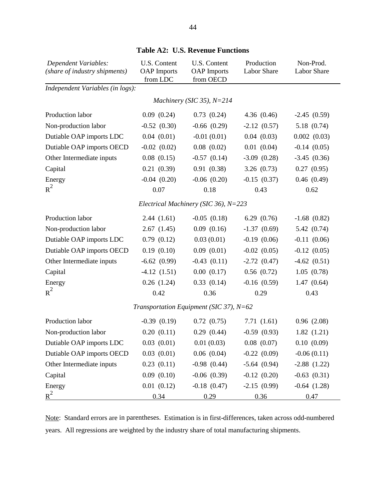| Dependent Variables:<br>(share of industry shipments) | U.S. Content<br><b>OAP</b> Imports<br>from LDC | U.S. Content<br><b>OAP</b> Imports<br>from OECD | Production<br>Labor Share | Non-Prod.<br><b>Labor Share</b> |  |
|-------------------------------------------------------|------------------------------------------------|-------------------------------------------------|---------------------------|---------------------------------|--|
| Independent Variables (in logs):                      |                                                |                                                 |                           |                                 |  |
|                                                       |                                                | Machinery (SIC 35), $N=214$                     |                           |                                 |  |
| Production labor                                      | 0.09(0.24)                                     | 0.73(0.24)                                      | 4.36(0.46)                | $-2.45(0.59)$                   |  |
| Non-production labor                                  | $-0.52(0.30)$                                  | $-0.66$ $(0.29)$                                | $-2.12(0.57)$             | 5.18 (0.74)                     |  |
| Dutiable OAP imports LDC                              | 0.04(0.01)                                     | $-0.01(0.01)$                                   | 0.04(0.03)                | 0.002(0.03)                     |  |
| Dutiable OAP imports OECD                             | $-0.02$ $(0.02)$                               | $0.08$ $(0.02)$                                 | 0.01(0.04)                | $-0.14(0.05)$                   |  |
| Other Intermediate inputs                             | 0.08(0.15)                                     | $-0.57(0.14)$                                   | $-3.09$ $(0.28)$          | $-3.45(0.36)$                   |  |
| Capital                                               | 0.21(0.39)                                     | 0.91(0.38)                                      | 3.26(0.73)                | 0.27(0.95)                      |  |
| Energy                                                | $-0.04$ $(0.20)$                               | $-0.06$ $(0.20)$                                | $-0.15(0.37)$             | 0.46(0.49)                      |  |
| $R^2$                                                 | 0.07                                           | 0.18                                            | 0.43                      | 0.62                            |  |
|                                                       |                                                | Electrical Machinery (SIC 36), N=223            |                           |                                 |  |
| Production labor                                      | 2.44(1.61)                                     | $-0.05$ $(0.18)$                                | 6.29(0.76)                | $-1.68$ $(0.82)$                |  |
| Non-production labor                                  | 2.67(1.45)                                     | 0.09(0.16)                                      | $-1.37(0.69)$             | 5.42(0.74)                      |  |
| Dutiable OAP imports LDC                              | 0.79(0.12)                                     | 0.03(0.01)                                      | $-0.19(0.06)$             | $-0.11(0.06)$                   |  |
| Dutiable OAP imports OECD                             | 0.19(0.10)                                     | 0.09(0.01)                                      | $-0.02$ $(0.05)$          | $-0.12(0.05)$                   |  |
| Other Intermediate inputs                             | $-6.62(0.99)$                                  | $-0.43(0.11)$                                   | $-2.72(0.47)$             | $-4.62(0.51)$                   |  |
| Capital                                               | $-4.12(1.51)$                                  | 0.00(0.17)                                      | 0.56(0.72)                | 1.05(0.78)                      |  |
| Energy                                                | 0.26(1.24)                                     | 0.33(0.14)                                      | $-0.16(0.59)$             | 1.47(0.64)                      |  |
| $R^2$                                                 | 0.42                                           | 0.36                                            | 0.29                      | 0.43                            |  |
| Transportation Equipment (SIC 37), $N=62$             |                                                |                                                 |                           |                                 |  |
| Production labor                                      | $-0.39(0.19)$                                  | 0.72(0.75)                                      | 7.71(1.61)                | 0.96(2.08)                      |  |
| Non-production labor                                  | 0.20(0.11)                                     | 0.29(0.44)                                      | $-0.59(0.93)$             | 1.82(1.21)                      |  |
| Dutiable OAP imports LDC                              | 0.03(0.01)                                     | 0.01(0.03)                                      | $0.08$ $(0.07)$           | 0.10(0.09)                      |  |
| Dutiable OAP imports OECD                             | 0.03(0.01)                                     | $0.06$ $(0.04)$                                 | $-0.22(0.09)$             | $-0.06(0.11)$                   |  |
| Other Intermediate inputs                             | 0.23(0.11)                                     | $-0.98$ $(0.44)$                                | $-5.64(0.94)$             | $-2.88(1.22)$                   |  |
| Capital                                               | 0.09(0.10)                                     | $-0.06$ $(0.39)$                                | $-0.12(0.20)$             | $-0.63$ $(0.31)$                |  |
| Energy                                                | 0.01(0.12)                                     | $-0.18$ $(0.47)$                                | $-2.15(0.99)$             | $-0.64$ $(1.28)$                |  |
| $R^2$                                                 | 0.34                                           | 0.29                                            | 0.36                      | 0.47                            |  |

# **Table A2: U.S. Revenue Functions**

Note: Standard errors are in parentheses. Estimation is in first-differences, taken across odd-numbered years. All regressions are weighted by the industry share of total manufacturing shipments.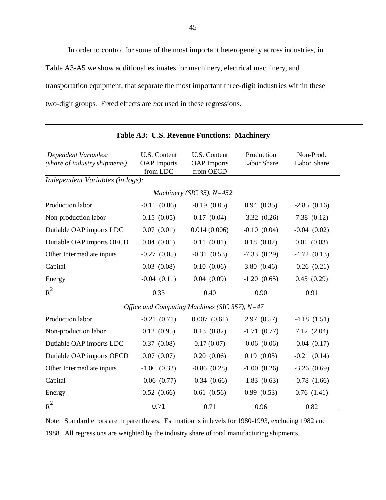In order to control for some of the most important heterogeneity across industries, in

Table A3-A5 we show additional estimates for machinery, electrical machinery, and

transportation equipment, that separate the most important three-digit industries within these

two-digit groups. Fixed effects are *not* used in these regressions.

 $\overline{a}$ 

| Dependent Variables:<br>(share of industry shipments) | U.S. Content<br><b>OAP</b> Imports<br>from LDC | U.S. Content<br><b>OAP</b> Imports<br>from OECD | Production<br><b>Labor Share</b> | Non-Prod.<br><b>Labor Share</b> |  |
|-------------------------------------------------------|------------------------------------------------|-------------------------------------------------|----------------------------------|---------------------------------|--|
| Independent Variables (in logs):                      |                                                |                                                 |                                  |                                 |  |
|                                                       |                                                | Machinery (SIC 35), $N=452$                     |                                  |                                 |  |
| Production labor                                      | $-0.11(0.06)$                                  | $-0.19$ $(0.05)$                                | 8.94 (0.35)                      | $-2.85(0.16)$                   |  |
| Non-production labor                                  | 0.15(0.05)                                     | 0.17(0.04)                                      | $-3.32$ $(0.26)$                 | 7.38(0.12)                      |  |
| Dutiable OAP imports LDC                              | 0.07(0.01)                                     | 0.014(0.006)                                    | $-0.10$ $(0.04)$                 | $-0.04$ $(0.02)$                |  |
| Dutiable OAP imports OECD                             | 0.04(0.01)                                     | 0.11(0.01)                                      | 0.18(0.07)                       | 0.01(0.03)                      |  |
| Other Intermediate inputs                             | $-0.27(0.05)$                                  | $-0.31(0.53)$                                   | $-7.33(0.29)$                    | $-4.72(0.13)$                   |  |
| Capital                                               | 0.03(0.08)                                     | 0.10(0.06)                                      | 3.80(0.46)                       | $-0.26$ $(0.21)$                |  |
| Energy                                                | $-0.04$ $(0.11)$                               | 0.04(0.09)                                      | $-1.20(0.65)$                    | 0.45(0.29)                      |  |
| $R^2$                                                 | 0.33                                           | 0.40                                            | 0.90                             | 0.91                            |  |
| Office and Computing Machines (SIC 357), $N=47$       |                                                |                                                 |                                  |                                 |  |
| Production labor                                      | $-0.21(0.71)$                                  | 0.007(0.61)                                     | 2.97(0.57)                       | $-4.18(1.51)$                   |  |
| Non-production labor                                  | 0.12(0.95)                                     | 0.13(0.82)                                      | $-1.71(0.77)$                    | 7.12(2.04)                      |  |
| Dutiable OAP imports LDC                              | 0.37(0.08)                                     | 0.17(0.07)                                      | $-0.06$ $(0.06)$                 | $-0.04$ $(0.17)$                |  |
| Dutiable OAP imports OECD                             | 0.07(0.07)                                     | 0.20(0.06)                                      | 0.19(0.05)                       | $-0.21(0.14)$                   |  |
| Other Intermediate inputs                             | $-1.06$ $(0.32)$                               | $-0.86$ $(0.28)$                                | $-1.00$ $(0.26)$                 | $-3.26$ $(0.69)$                |  |
| Capital                                               | $-0.06$ $(0.77)$                               | $-0.34(0.66)$                                   | $-1.83(0.63)$                    | $-0.78$ $(1.66)$                |  |
| Energy                                                | 0.52(0.66)                                     | 0.61(0.56)                                      | 0.99(0.53)                       | 0.76(1.41)                      |  |
| $R^2$                                                 | 0.71                                           | 0.71                                            | 0.96                             | 0.82                            |  |

### **Table A3: U.S. Revenue Functions: Machinery**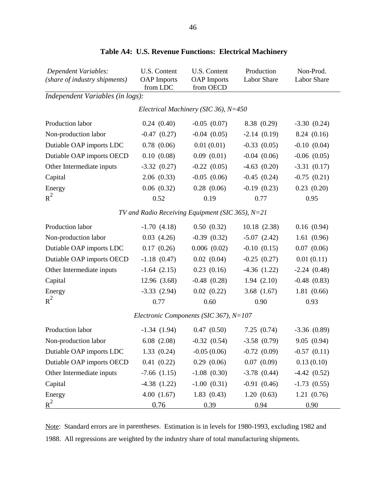| Dependent Variables:<br>(share of industry shipments) | U.S. Content<br><b>OAP</b> Imports<br>from LDC | U.S. Content<br><b>OAP</b> Imports<br>from OECD    | Production<br><b>Labor Share</b> | Non-Prod.<br><b>Labor Share</b> |  |  |
|-------------------------------------------------------|------------------------------------------------|----------------------------------------------------|----------------------------------|---------------------------------|--|--|
| Independent Variables (in logs):                      |                                                |                                                    |                                  |                                 |  |  |
| Electrical Machinery (SIC 36), N=450                  |                                                |                                                    |                                  |                                 |  |  |
| Production labor                                      | 0.24(0.40)                                     | $-0.05$ $(0.07)$                                   | 8.38 (0.29)                      | $-3.30(0.24)$                   |  |  |
| Non-production labor                                  | $-0.47(0.27)$                                  | $-0.04(0.05)$                                      | $-2.14(0.19)$                    | 8.24(0.16)                      |  |  |
| Dutiable OAP imports LDC                              | 0.78(0.06)                                     | 0.01(0.01)                                         | $-0.33(0.05)$                    | $-0.10(0.04)$                   |  |  |
| Dutiable OAP imports OECD                             | 0.10(0.08)                                     | 0.09(0.01)                                         | $-0.04$ $(0.06)$                 | $-0.06$ $(0.05)$                |  |  |
| Other Intermediate inputs                             | $-3.32(0.27)$                                  | $-0.22(0.05)$                                      | $-4.63(0.20)$                    | $-3.31(0.17)$                   |  |  |
| Capital                                               | 2.06(0.33)                                     | $-0.05$ $(0.06)$                                   | $-0.45(0.24)$                    | $-0.75(0.21)$                   |  |  |
| Energy                                                | 0.06(0.32)                                     | 0.28(0.06)                                         | $-0.19$ $(0.23)$                 | 0.23(0.20)                      |  |  |
| $R^2$                                                 | 0.52                                           | 0.19                                               | 0.77                             | 0.95                            |  |  |
|                                                       |                                                | TV and Radio Receiving Equipment (SIC 365), $N=21$ |                                  |                                 |  |  |
| Production labor                                      | $-1.70(4.18)$                                  | 0.50(0.32)                                         | 10.18(2.38)                      | 0.16(0.94)                      |  |  |
| Non-production labor                                  | 0.03(4.26)                                     | $-0.39(0.32)$                                      | $-5.07(2.42)$                    | 1.61(0.96)                      |  |  |
| Dutiable OAP imports LDC                              | 0.17(0.26)                                     | 0.006(0.02)                                        | $-0.10(0.15)$                    | 0.07(0.06)                      |  |  |
| Dutiable OAP imports OECD                             | $-1.18(0.47)$                                  | 0.02(0.04)                                         | $-0.25(0.27)$                    | 0.01(0.11)                      |  |  |
| Other Intermediate inputs                             | $-1.64(2.15)$                                  | 0.23(0.16)                                         | $-4.36(1.22)$                    | $-2.24(0.48)$                   |  |  |
| Capital                                               | 12.96 (3.68)                                   | $-0.48$ $(0.28)$                                   | 1.94(2.10)                       | $-0.48$ $(0.83)$                |  |  |
| Energy                                                | $-3.33(2.94)$                                  | 0.02(0.22)                                         | 3.68(1.67)                       | 1.81(0.66)                      |  |  |
| $R^2$                                                 | 0.77                                           | 0.60                                               | 0.90                             | 0.93                            |  |  |
| Electronic Components (SIC 367), N=107                |                                                |                                                    |                                  |                                 |  |  |
| Production labor                                      | $-1.34(1.94)$                                  | 0.47(0.50)                                         | 7.25(0.74)                       | $-3.36(0.89)$                   |  |  |
| Non-production labor                                  | 6.08(2.08)                                     | $-0.32(0.54)$                                      | $-3.58$ $(0.79)$                 | 9.05(0.94)                      |  |  |
| Dutiable OAP imports LDC                              | 1.33(0.24)                                     | $-0.05(0.06)$                                      | $-0.72(0.09)$                    | $-0.57$ $(0.11)$                |  |  |
| Dutiable OAP imports OECD                             | 0.41(0.22)                                     | 0.29(0.06)                                         | 0.07(0.09)                       | 0.13(0.10)                      |  |  |
| Other Intermediate inputs                             | $-7.66$ $(1.15)$                               | $-1.08$ $(0.30)$                                   | $-3.78$ $(0.44)$                 | $-4.42(0.52)$                   |  |  |
| Capital                                               | $-4.38(1.22)$                                  | $-1.00$ $(0.31)$                                   | $-0.91(0.46)$                    | $-1.73(0.55)$                   |  |  |
| Energy                                                | 4.00(1.67)                                     | 1.83(0.43)                                         | 1.20(0.63)                       | 1.21(0.76)                      |  |  |
| $R^2$                                                 | 0.76                                           | 0.39                                               | 0.94                             | 0.90                            |  |  |

# **Table A4: U.S. Revenue Functions: Electrical Machinery**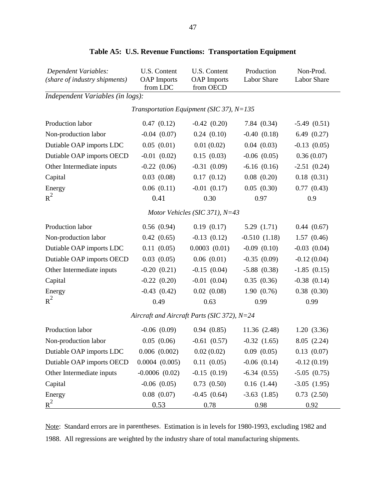| Dependent Variables:<br>(share of industry shipments) | U.S. Content<br><b>OAP</b> Imports<br>from LDC | U.S. Content<br><b>OAP</b> Imports<br>from OECD | Production<br><b>Labor Share</b> | Non-Prod.<br>Labor Share |  |  |
|-------------------------------------------------------|------------------------------------------------|-------------------------------------------------|----------------------------------|--------------------------|--|--|
| Independent Variables (in logs):                      |                                                |                                                 |                                  |                          |  |  |
|                                                       | Transportation Equipment (SIC 37), $N=135$     |                                                 |                                  |                          |  |  |
| Production labor                                      | 0.47(0.12)                                     | $-0.42(0.20)$                                   | 7.84(0.34)                       | $-5.49(0.51)$            |  |  |
| Non-production labor                                  | $-0.04$ $(0.07)$                               | 0.24(0.10)                                      | $-0.40(0.18)$                    | 6.49(0.27)               |  |  |
| Dutiable OAP imports LDC                              | 0.05(0.01)                                     | 0.01(0.02)                                      | 0.04(0.03)                       | $-0.13$ $(0.05)$         |  |  |
| Dutiable OAP imports OECD                             | $-0.01$ $(0.02)$                               | 0.15(0.03)                                      | $-0.06$ $(0.05)$                 | 0.36(0.07)               |  |  |
| Other Intermediate inputs                             | $-0.22(0.06)$                                  | $-0.31(0.09)$                                   | $-6.16$ $(0.16)$                 | $-2.51(0.24)$            |  |  |
| Capital                                               | 0.03(0.08)                                     | 0.17(0.12)                                      | $0.08$ $(0.20)$                  | 0.18(0.31)               |  |  |
| Energy                                                | 0.06(0.11)                                     | $-0.01$ $(0.17)$                                | 0.05(0.30)                       | 0.77(0.43)               |  |  |
| $R^2$                                                 | 0.41                                           | 0.30                                            | 0.97                             | 0.9                      |  |  |
|                                                       |                                                | Motor Vehicles (SIC 371), $N=43$                |                                  |                          |  |  |
| Production labor                                      | 0.56(0.94)                                     | 0.19(0.17)                                      | 5.29(1.71)                       | 0.44(0.67)               |  |  |
| Non-production labor                                  | 0.42(0.65)                                     | $-0.13(0.12)$                                   | $-0.510(1.18)$                   | 1.57(0.46)               |  |  |
| Dutiable OAP imports LDC                              | 0.11(0.05)                                     | 0.0003(0.01)                                    | $-0.09$ $(0.10)$                 | $-0.03$ $(0.04)$         |  |  |
| Dutiable OAP imports OECD                             | 0.03(0.05)                                     | 0.06(0.01)                                      | $-0.35(0.09)$                    | $-0.12(0.04)$            |  |  |
| Other Intermediate inputs                             | $-0.20(0.21)$                                  | $-0.15(0.04)$                                   | $-5.88(0.38)$                    | $-1.85(0.15)$            |  |  |
| Capital                                               | $-0.22$ $(0.20)$                               | $-0.01$ $(0.04)$                                | 0.35(0.36)                       | $-0.38$ $(0.14)$         |  |  |
| Energy                                                | $-0.43$ $(0.42)$                               | 0.02(0.08)                                      | 1.90(0.76)                       | 0.38(0.30)               |  |  |
| $R^2$                                                 | 0.49                                           | 0.63                                            | 0.99                             | 0.99                     |  |  |
| Aircraft and Aircraft Parts (SIC 372), N=24           |                                                |                                                 |                                  |                          |  |  |
| Production labor                                      | $-0.06$ $(0.09)$                               | 0.94(0.85)                                      | 11.36(2.48)                      | 1.20(3.36)               |  |  |
| Non-production labor                                  | 0.05(0.06)                                     | $-0.61(0.57)$                                   | $-0.32(1.65)$                    | 8.05 (2.24)              |  |  |
| Dutiable OAP imports LDC                              | $0.006$ $(0.002)$                              | 0.02(0.02)                                      | $0.09$ $(0.05)$                  | 0.13(0.07)               |  |  |
| Dutiable OAP imports OECD                             | $0.0004$ $(0.005)$                             | 0.11(0.05)                                      | $-0.06$ $(0.14)$                 | $-0.12(0.19)$            |  |  |
| Other Intermediate inputs                             | $-0.0006(0.02)$                                | $-0.15(0.19)$                                   | $-6.34(0.55)$                    | $-5.05$ $(0.75)$         |  |  |
| Capital                                               | $-0.06$ $(0.05)$                               | 0.73(0.50)                                      | 0.16(1.44)                       | $-3.05$ $(1.95)$         |  |  |
| Energy                                                | $0.08$ $(0.07)$                                | $-0.45(0.64)$                                   | $-3.63$ $(1.85)$                 | 0.73(2.50)               |  |  |
| $R^2$                                                 | 0.53                                           | 0.78                                            | 0.98                             | 0.92                     |  |  |

### **Table A5: U.S. Revenue Functions: Transportation Equipment**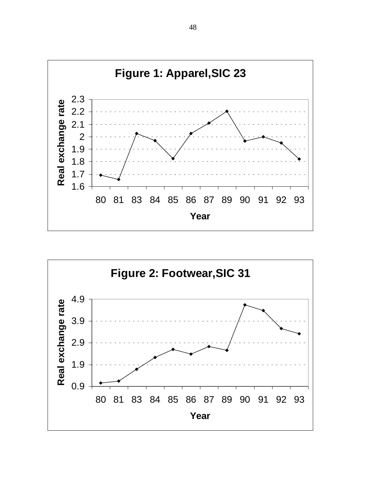

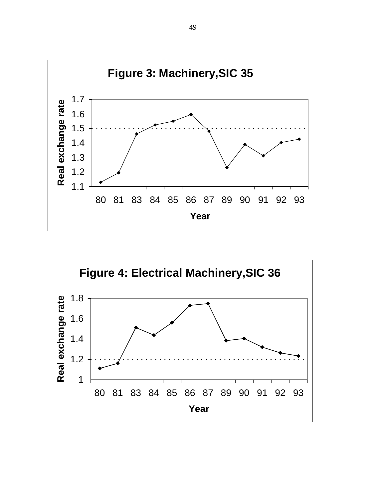